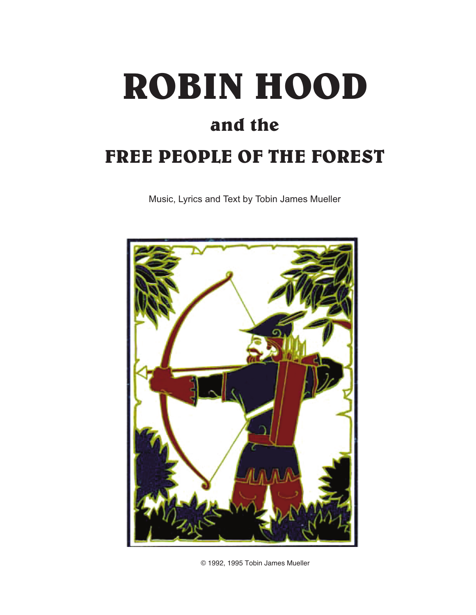# **ROBIN HOOD and the FREE PEOPLE OF THE FOREST**

Music, Lyrics and Text by Tobin James Mueller



© 1992, 1995 Tobin James Mueller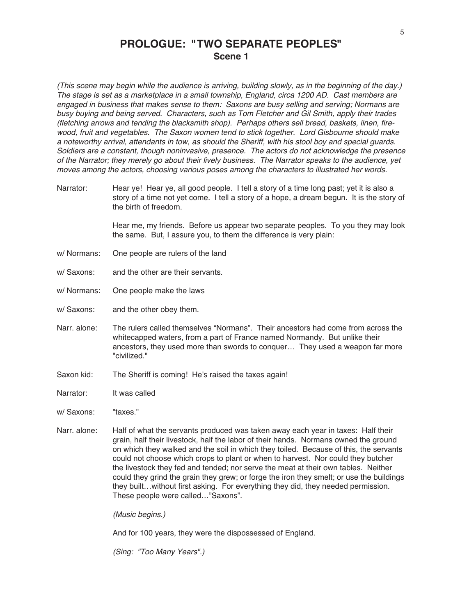**PROLOGUE: "TWO SEPARATE PEOPLES" Scene 1**

(This scene may begin while the audience is arriving, building slowly, as in the beginning of the day.) The stage is set as <sup>a</sup> marketplace in <sup>a</sup> small township, England, circa 1200 AD. Cast members are engaged in business that makes sense to them: Saxons are busy selling and serving; Normans are busy buying and being served. Characters, such as Tom Fletcher and Gil Smith, apply their trades (fletching arrows and tending the blacksmith shop). Perhaps others sell bread, baskets, linen, firewood, fruit and vegetables. The Saxon women tend to stick together. Lord Gisbourne should make <sup>a</sup> noteworthy arrival, attendants in tow, as should the Sheriff, with his stool boy and special guards. Soldiers are <sup>a</sup> constant, though noninvasive, presence. The actors do not acknowledge the presence of the Narrator; they merely go about their lively business. The Narrator speaks to the audience, yet moves among the actors, choosing various poses among the characters to illustrated her words.

Narrator: Hear ye! Hear ye, all good people. I tell a story of a time long past; yet it is also a story of a time not yet come. I tell a story of a hope, a dream begun. It is the story of the birth of freedom.

> Hear me, my friends. Before us appear two separate peoples. To you they may look the same. But, I assure you, to them the difference is very plain:

- w/ Normans: One people are rulers of the land
- w/ Saxons: and the other are their servants.
- w/ Normans: One people make the laws
- w/ Saxons: and the other obey them.
- Narr. alone: The rulers called themselves "Normans". Their ancestors had come from across the whitecapped waters, from a part of France named Normandy. But unlike their ancestors, they used more than swords to conquer… They used a weapon far more "civilized."
- Saxon kid: The Sheriff is coming! He's raised the taxes again!
- Narrator: It was called

w/ Saxons: "taxes."

Narr. alone: Half of what the servants produced was taken away each year in taxes: Half their grain, half their livestock, half the labor of their hands. Normans owned the ground on which they walked and the soil in which they toiled. Because of this, the servants could not choose which crops to plant or when to harvest. Nor could they butcher the livestock they fed and tended; nor serve the meat at their own tables. Neither could they grind the grain they grew; or forge the iron they smelt; or use the buildings they built…without first asking. For everything they did, they needed permission. These people were called…"Saxons".

(Music begins.)

And for 100 years, they were the dispossessed of England.

(Sing: "Too Many Years".)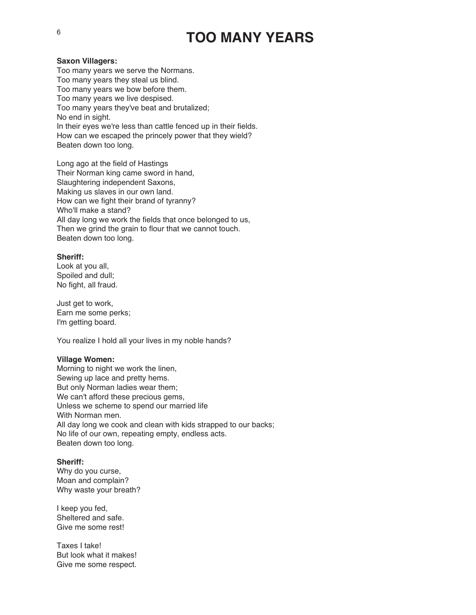## **TOO MANY YEARS**

#### **Saxon Villagers:**

Too many years we serve the Normans. Too many years they steal us blind. Too many years we bow before them. Too many years we live despised. Too many years they've beat and brutalized; No end in sight. In their eyes we're less than cattle fenced up in their fields. How can we escaped the princely power that they wield? Beaten down too long.

Long ago at the field of Hastings Their Norman king came sword in hand, Slaughtering independent Saxons, Making us slaves in our own land. How can we fight their brand of tyranny? Who'll make a stand? All day long we work the fields that once belonged to us, Then we grind the grain to flour that we cannot touch. Beaten down too long.

### **Sheriff:**

Look at you all, Spoiled and dull; No fight, all fraud.

Just get to work, Earn me some perks; I'm getting board.

You realize I hold all your lives in my noble hands?

#### **Village Women:**

Morning to night we work the linen, Sewing up lace and pretty hems. But only Norman ladies wear them; We can't afford these precious gems, Unless we scheme to spend our married life With Norman men. All day long we cook and clean with kids strapped to our backs; No life of our own, repeating empty, endless acts. Beaten down too long.

### **Sheriff:**

Why do you curse, Moan and complain? Why waste your breath?

I keep you fed, Sheltered and safe. Give me some rest!

Taxes I take! But look what it makes! Give me some respect.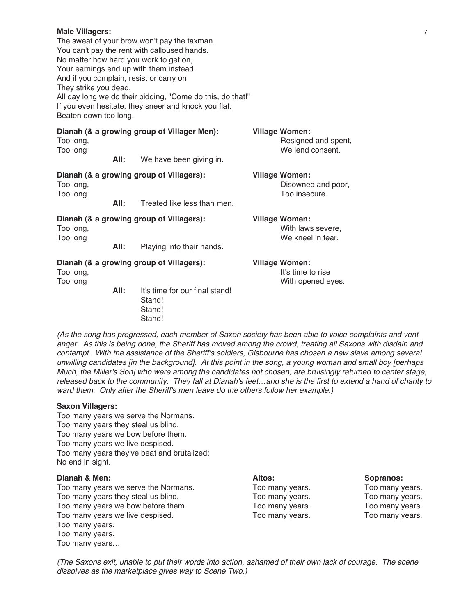#### **Male Villagers:**

The sweat of your brow won't pay the taxman. You can't pay the rent with calloused hands. No matter how hard you work to get on, Your earnings end up with them instead. And if you complain, resist or carry on They strike you dead. All day long we do their bidding, "Come do this, do that!" If you even hesitate, they sneer and knock you flat. Beaten down too long.

**Dianah (& a growing group of Villager Men): Village Women:** Too long, The contract of the contract of the contract of the Resigned and spent, Too long and the set of the set of the set of the set of the set of the set of the set of the set of the set of the set of the set of the set of the set of the set of the set of the set of the set of the set of the set of **All:** We have been giving in. **Dianah (& a growing group of Villagers): Village Women:** Too long, Disowned and poor, Disowned and poor, Disowned and poor, Disowned and poor, **All:** Treated like less than men. Too insecure. **All:** Treated like less than men. **Dianah (& a growing group of Villagers): Village Women:** Too long, Too long, Too long, Too long, Too long, Too long, Too long, Too long, Too long, Too long, Too long, Too long, Too long, Too long, Too long, Too long, Too long, Too long, Too long, Too long, Too long, Too long, To Too long and the set of the set of the set of the set of the weak we kneel in fear. **All:** Playing into their hands. **Dianah (& a growing group of Villagers): Village Women:** Too long, Too long, Too long, Too long, Too long, It's time to rise Too long and the contract of the contract of the With opened eyes.

> **All:** It's time for our final stand! Stand! Stand! Stand!

(As the song has progressed, each member of Saxon society has been able to voice complaints and vent anger. As this is being done, the Sheriff has moved among the crowd, treating all Saxons with disdain and contempt. With the assistance of the Sheriff's soldiers, Gisbourne has chosen <sup>a</sup> new slave among several unwilling candidates [in the background]. At this point in the song, <sup>a</sup> young woman and small boy [perhaps Much, the Miller's Son] who were among the candidates not chosen, are bruisingly returned to center stage, released back to the community. They fall at Dianah's feet…and she is the first to extend <sup>a</sup> hand of charity to ward them. Only after the Sheriff's men leave do the others follow her example.)

### **Saxon Villagers:**

Too many years we serve the Normans. Too many years they steal us blind. Too many years we bow before them. Too many years we live despised. Too many years they've beat and brutalized; No end in sight.

#### **Dianah & Men: Altos: Sopranos:**

Too many years we serve the Normans.<br>
Too many vears they steal us blind.<br>
Too many vears they steal us blind.<br>
Too many vears.<br>
Too many vears.<br>
Too many vears. Too many years they steal us blind.<br>Too many vears we bow before them.<br>Too many vears we bow before them.<br>Too many vears.<br>Too many vears. Too many years we bow before them. Too many years we live despised. Too many years. Too many years. Too many years. Too many years. Too many years…

(The Saxons exit, unable to put their words into action, ashamed of their own lack of courage. The scene dissolves as the marketplace gives way to Scene Two.)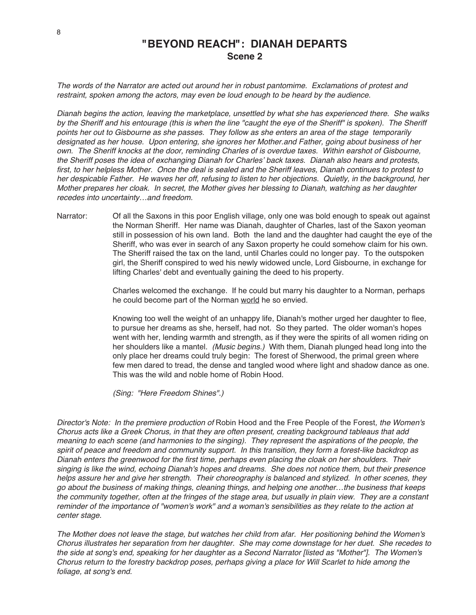### **"BEYOND REACH": DIANAH DEPARTS Scene 2**

The words of the Narrator are acted out around her in robust pantomime. Exclamations of protest and restraint, spoken among the actors, may even be loud enough to be heard by the audience.

Dianah begins the action, leaving the marketplace, unsettled by what she has experienced there. She walks by the Sheriff and his entourage (this is when the line "caught the eye of the Sheriff" is spoken). The Sheriff points her out to Gisbourne as she passes. They follow as she enters an area of the stage temporarily designated as her house. Upon entering, she ignores her Mother.and Father, going about business of her own. The Sheriff knocks at the door, reminding Charles of is overdue taxes. Within earshot of Gisbourne, the Sheriff poses the idea of exchanging Dianah for Charles' back taxes. Dianah also hears and protests, first, to her helpless Mother. Once the deal is sealed and the Sheriff leaves, Dianah continues to protest to her despicable Father. He waves her off, refusing to listen to her objections. Quietly, in the background, her Mother prepares her cloak. In secret, the Mother gives her blessing to Dianah, watching as her daughter recedes into uncertainty…and freedom.

Narrator: Of all the Saxons in this poor English village, only one was bold enough to speak out against the Norman Sheriff. Her name was Dianah, daughter of Charles, last of the Saxon yeoman still in possession of his own land. Both the land and the daughter had caught the eye of the Sheriff, who was ever in search of any Saxon property he could somehow claim for his own. The Sheriff raised the tax on the land, until Charles could no longer pay. To the outspoken girl, the Sheriff conspired to wed his newly widowed uncle, Lord Gisbourne, in exchange for lifting Charles' debt and eventually gaining the deed to his property.

> Charles welcomed the exchange. If he could but marry his daughter to a Norman, perhaps he could become part of the Norman world he so envied.

Knowing too well the weight of an unhappy life, Dianah's mother urged her daughter to flee, to pursue her dreams as she, herself, had not. So they parted. The older woman's hopes went with her, lending warmth and strength, as if they were the spirits of all women riding on her shoulders like a mantel. (Music begins.) With them, Dianah plunged head long into the only place her dreams could truly begin: The forest of Sherwood, the primal green where few men dared to tread, the dense and tangled wood where light and shadow dance as one. This was the wild and noble home of Robin Hood.

(Sing: "Here Freedom Shines".)

Director's Note: In the premiere production of Robin Hood and the Free People of the Forest, the Women's Chorus acts like <sup>a</sup> Greek Chorus, in that they are often present, creating background tableaus that add meaning to each scene (and harmonies to the singing). They represent the aspirations of the people, the spirit of peace and freedom and community support. In this transition, they form <sup>a</sup> forest-like backdrop as Dianah enters the greenwood for the first time, perhaps even placing the cloak on her shoulders. Their singing is like the wind, echoing Dianah's hopes and dreams. She does not notice them, but their presence helps assure her and give her strength. Their choreography is balanced and stylized. In other scenes, they go about the business of making things, cleaning things, and helping one another…the business that keeps the community together, often at the fringes of the stage area, but usually in plain view. They are <sup>a</sup> constant reminder of the importance of "women's work" and <sup>a</sup> woman's sensibilities as they relate to the action at center stage.

The Mother does not leave the stage, but watches her child from afar. Her positioning behind the Women's Chorus illustrates her separation from her daughter. She may come downstage for her duet. She recedes to the side at song's end, speaking for her daughter as <sup>a</sup> Second Narrator [listed as "Mother"]. The Women's Chorus return to the forestry backdrop poses, perhaps giving <sup>a</sup> place for Will Scarlet to hide among the foliage, at song's end.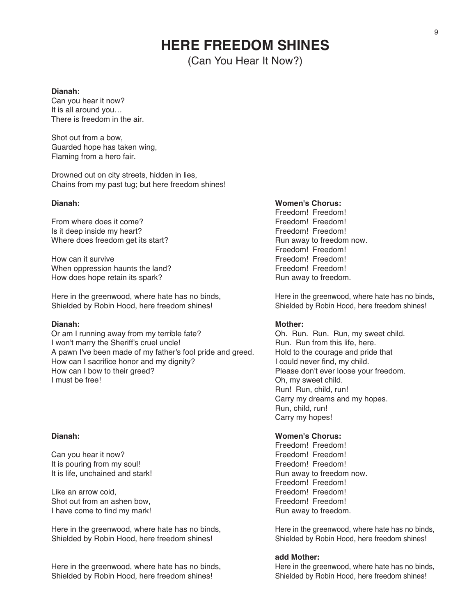### **HERE FREEDOM SHINES**

(Can You Hear It Now?)

#### **Dianah:**

Can you hear it now? It is all around you… There is freedom in the air.

Shot out from a bow, Guarded hope has taken wing, Flaming from a hero fair.

Drowned out on city streets, hidden in lies, Chains from my past tug; but here freedom shines!

From where does it come?<br>
Is it deep inside my heart?<br>
Is it deep inside my heart?<br>
Freedom! Freedom! Is it deep inside my heart?<br>
Where does freedom get its start?<br>
Where does freedom get its start?<br>
The management of freedom now. Where does freedom get its start?

How can it survive<br>
When oppression haunts the land?<br>
When oppression haunts the land?<br>
Treedom! Freedom! When oppression haunts the land?<br>
How does hope retain its spark?<br>
How does hope retain its spark?<br>
Freedom. How does hope retain its spark?

Here in the greenwood, where hate has no binds,<br>
Shielded by Robin Hood, here freedom shines!<br>
Shielded by Robin Hood, here freedom shines! Shielded by Robin Hood, here freedom shines!

Or am I running away from my terrible fate?<br>
I won't marry the Sheriff's cruel uncle!<br>
I won't marry the Sheriff's cruel uncle!<br>
Sheriman Bun. Run from this life, here. I won't marry the Sheriff's cruel uncle!<br>A pawn I've been made of my father's fool pride and greed. Hold to the courage and pride that A pawn I've been made of my father's fool pride and greed. Hold to the courage and pride How can I sacrifice honor and my dignity? How can I sacrifice honor and my dignity?<br>How can I bow to their greed? How can I bow to their greed?<br>
I must be free!<br>
I must be free!<br>
Oh my sweet child

Can you hear it now?<br>
It is nouring from my soul!<br>
It is nouring from my soul! It is pouring from my soul!<br>
It is life, unchained and stark!<br>
It is life, unchained and stark!<br> **Example 20** Freedom! Freedom! Freedom! Provided: It is life, unchained and stark!

Like an arrow cold,<br>
Shot out from an ashen bow.<br>
Shot out from an ashen bow.<br>
Freedom! Freedom! Shot out from an ashen bow, I have come to find my mark! A set of the state of the Run away to freedom.

Here in the greenwood, where hate has no binds,<br>
Shielded by Robin Hood, here freedom shines!<br>
Shielded by Robin Hood, here freedom shines! Shielded by Robin Hood, here freedom shines!

Here in the greenwood, where hate has no binds,<br>Shielded by Robin Hood, here freedom shines!<br>Shielded by Robin Hood, here freedom shines! Shielded by Robin Hood, here freedom shines!

#### **Dianah: Women's Chorus:**

Freedom! Freedom!<br>Freedom! Freedom! Freedom! Freedom!

#### **Dianah: Mother:**

Oh, my sweet child. Run! Run, child, run! Carry my dreams and my hopes. Run, child, run! Carry my hopes!

### **Dianah: Women's Chorus:**

Freedom! Freedom!<br>Freedom! Freedom! Freedom! Freedom!

#### **add Mother:**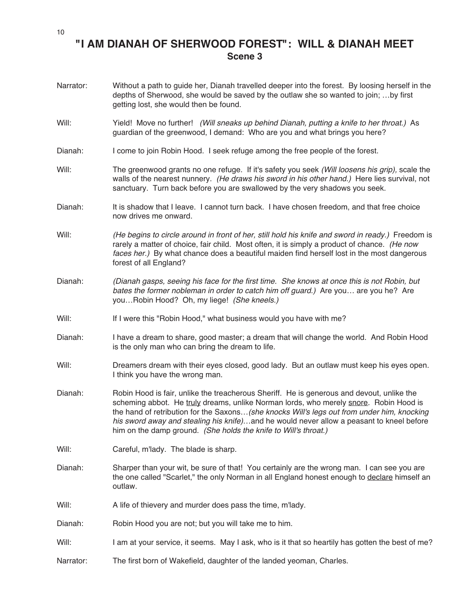### **"I AM DIANAH OF SHERWOOD FOREST": WILL & DIANAH MEET Scene 3**

- Narrator: Without a path to guide her, Dianah travelled deeper into the forest. By loosing herself in the depths of Sherwood, she would be saved by the outlaw she so wanted to join; …by first getting lost, she would then be found.
- Will: Yield! Move no further! (Will sneaks up behind Dianah, putting a knife to her throat.) As guardian of the greenwood, I demand: Who are you and what brings you here?
- Dianah: I come to join Robin Hood. I seek refuge among the free people of the forest.
- Will: The greenwood grants no one refuge. If it's safety you seek (Will loosens his grip), scale the walls of the nearest nunnery. (He draws his sword in his other hand.) Here lies survival, not sanctuary. Turn back before you are swallowed by the very shadows you seek.
- Dianah: It is shadow that I leave. I cannot turn back. I have chosen freedom, and that free choice now drives me onward.
- Will: (He begins to circle around in front of her, still hold his knife and sword in ready.) Freedom is rarely a matter of choice, fair child. Most often, it is simply a product of chance. (He now faces her.) By what chance does a beautiful maiden find herself lost in the most dangerous forest of all England?
- Dianah: (Dianah gasps, seeing his face for the first time. She knows at once this is not Robin, but bates the former nobleman in order to catch him off guard.) Are you… are you he? Are you...Robin Hood? Oh, my liege! (She kneels.)
- Will: If I were this "Robin Hood," what business would you have with me?
- Dianah: I have a dream to share, good master; a dream that will change the world. And Robin Hood is the only man who can bring the dream to life.
- Will: Dreamers dream with their eyes closed, good lady. But an outlaw must keep his eyes open. I think you have the wrong man.
- Dianah: Robin Hood is fair, unlike the treacherous Sheriff. He is generous and devout, unlike the scheming abbot. He truly dreams, unlike Norman lords, who merely snore. Robin Hood is the hand of retribution for the Saxons... (she knocks Will's legs out from under him, knocking his sword away and stealing his knife)...and he would never allow a peasant to kneel before him on the damp ground. (She holds the knife to Will's throat.)
- Will: Careful, m'lady. The blade is sharp.
- Dianah: Sharper than your wit, be sure of that! You certainly are the wrong man. I can see you are the one called "Scarlet," the only Norman in all England honest enough to declare himself an outlaw.
- Will: A life of thievery and murder does pass the time, m'lady.
- Dianah: Robin Hood you are not; but you will take me to him.
- Will: I am at your service, it seems. May I ask, who is it that so heartily has gotten the best of me?
- Narrator: The first born of Wakefield, daughter of the landed yeoman, Charles.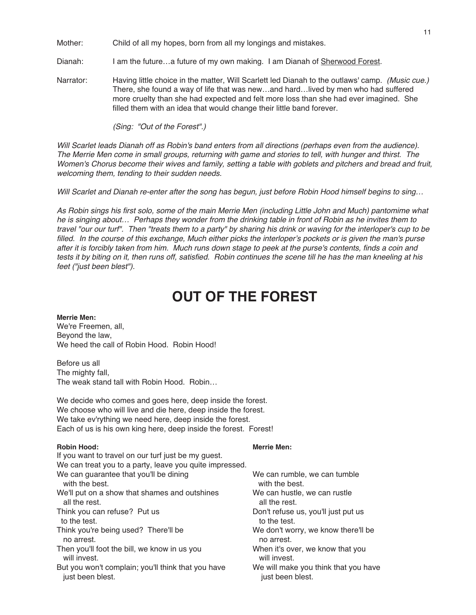Mother: Child of all my hopes, born from all my longings and mistakes.

Dianah: I am the future...a future of my own making. I am Dianah of Sherwood Forest.

Narrator: Having little choice in the matter, Will Scarlett led Dianah to the outlaws' camp. (Music cue.) There, she found a way of life that was new…and hard…lived by men who had suffered more cruelty than she had expected and felt more loss than she had ever imagined. She filled them with an idea that would change their little band forever.

(Sing: "Out of the Forest".)

Will Scarlet leads Dianah off as Robin's band enters from all directions (perhaps even from the audience). The Merrie Men come in small groups, returning with game and stories to tell, with hunger and thirst. The Women's Chorus become their wives and family, setting <sup>a</sup> table with goblets and pitchers and bread and fruit, welcoming them, tending to their sudden needs.

Will Scarlet and Dianah re-enter after the song has begun, just before Robin Hood himself begins to sing...

As Robin sings his first solo, some of the main Merrie Men (including Little John and Much) pantomime what he is singing about… Perhaps they wonder from the drinking table in front of Robin as he invites them to travel "our our turf". Then "treats them to <sup>a</sup> party" by sharing his drink or waving for the interloper's cup to be filled. In the course of this exchange, Much either picks the interloper's pockets or is given the man's purse after it is forcibly taken from him. Much runs down stage to peek at the purse's contents, finds <sup>a</sup> coin and tests it by biting on it, then runs off, satisfied. Robin continues the scene till he has the man kneeling at his feet ("just been blest").

## **OUT OF THE FOREST**

**Merrie Men:** We're Freemen, all, Beyond the law, We heed the call of Robin Hood. Robin Hood!

Before us all The mighty fall, The weak stand tall with Robin Hood. Robin…

We decide who comes and goes here, deep inside the forest. We choose who will live and die here, deep inside the forest. We take ev'rything we need here, deep inside the forest. Each of us is his own king here, deep inside the forest. Forest!

#### **Robin Hood: Merrie Men:**

| If you want to travel on our turf just be my guest.     |                                      |
|---------------------------------------------------------|--------------------------------------|
| We can treat you to a party, leave you quite impressed. |                                      |
| We can guarantee that you'll be dining                  | We can rumble, we can tumble         |
| with the best.                                          | with the best.                       |
| We'll put on a show that shames and outshines           | We can hustle, we can rustle         |
| all the rest.                                           | all the rest.                        |
| Think you can refuse? Put us                            | Don't refuse us, you'll just put us  |
| to the test.                                            | to the test.                         |
| Think you're being used? There'll be                    | We don't worry, we know there'll be  |
| no arrest.                                              | no arrest.                           |
| Then you'll foot the bill, we know in us you            | When it's over, we know that you     |
| will invest.                                            | will invest.                         |
| But you won't complain; you'll think that you have      | We will make you think that you have |
| just been blest.                                        | just been blest.                     |
|                                                         |                                      |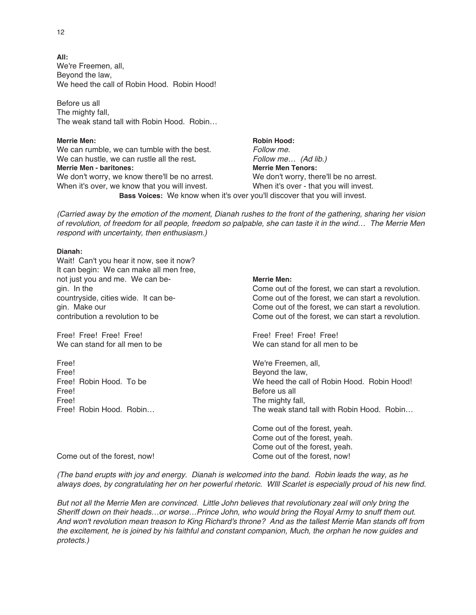**All:** We're Freemen, all, Beyond the law, We heed the call of Robin Hood. Robin Hood!

Before us all The mighty fall, The weak stand tall with Robin Hood. Robin…

### **Merrie** Men: **Robin Hood: Robin Hood:**

We can rumble, we can tumble with the best.<br>We can hustle, we can rustle all the rest. Follow me... (Ad lib.) We can hustle, we can rustle all the rest. **Merrie Men - baritones: Merrie Men Tenors:** We don't worry, we know there'll be no arrest. We don't worry, there'll be no arrest. When it's over, we know that you will invest. When it's over - that you will invest. **Bass Voices:** We know when it's over you'll discover that you will invest.

(Carried away by the emotion of the moment, Dianah rushes to the front of the gathering, sharing her vision of revolution, of freedom for all people, freedom so palpable, she can taste it in the wind… The Merrie Men respond with uncertainty, then enthusiasm.)

### **Dianah:**

Wait! Can't you hear it now, see it now? It can begin: We can make all men free, not just you and me. We can be- **Merrie Men:** gin. In the Come out of the forest, we can start a revolution. countryside, cities wide. It can be- Come out of the forest, we can start a revolution. gin. Make our come out of the forest, we can start a revolution.<br>Come out of the forest, we can start a revolution. Come out of the forest, we can start a revolution. Free! Free! Free! Free! Free! Free! Free! Free! We can stand for all men to be We can stand for all men to be Free! We're Freemen, all, Free! We're Freemen, all, Free! Free! Beyond the law, Free! Beyond the law, Free! Robin Hood. To be measured the call Free! Robin Hood. To be We heed the call of Robin Hood. Robin Hood! Free! Before us all Free! The mighty fall, Free! Robin Hood. Robin... The mighty fall, Free! Robin Hood. Robin... The weak stand tall with Robin Hood. Robin... Come out of the forest, yeah. Come out of the forest, yeah. Come out of the forest, yeah. Come out of the forest, now! Come out of the forest, now!

(The band erupts with joy and energy. Dianah is welcomed into the band. Robin leads the way, as he always does, by congratulating her on her powerful rhetoric. WIll Scarlet is especially proud of his new find.

But not all the Merrie Men are convinced. Little John believes that revolutionary zeal will only bring the Sheriff down on their heads…or worse…Prince John, who would bring the Royal Army to snuff them out. And won't revolution mean treason to King Richard's throne? And as the tallest Merrie Man stands off from the excitement, he is joined by his faithful and constant companion, Much, the orphan he now guides and protects.)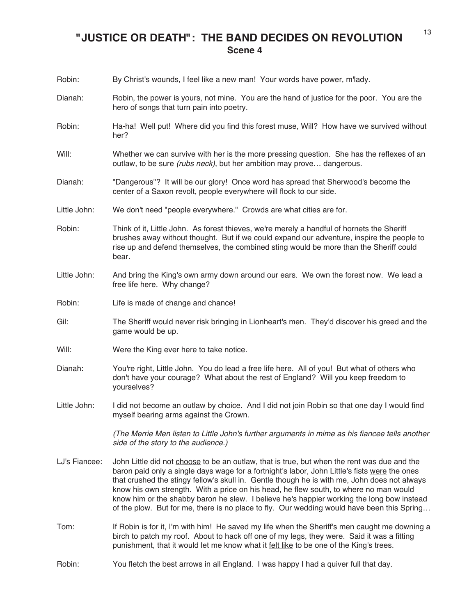### **"JUSTICE OR DEATH": THE BAND DECIDES ON REVOLUTION Scene 4**

| Robin:        | By Christ's wounds, I feel like a new man! Your words have power, m'lady.                                                                                                                                                                                                                                                                                                                                                                                                                                                                                                        |
|---------------|----------------------------------------------------------------------------------------------------------------------------------------------------------------------------------------------------------------------------------------------------------------------------------------------------------------------------------------------------------------------------------------------------------------------------------------------------------------------------------------------------------------------------------------------------------------------------------|
| Dianah:       | Robin, the power is yours, not mine. You are the hand of justice for the poor. You are the<br>hero of songs that turn pain into poetry.                                                                                                                                                                                                                                                                                                                                                                                                                                          |
| Robin:        | Ha-ha! Well put! Where did you find this forest muse, Will? How have we survived without<br>her?                                                                                                                                                                                                                                                                                                                                                                                                                                                                                 |
| Will:         | Whether we can survive with her is the more pressing question. She has the reflexes of an<br>outlaw, to be sure (rubs neck), but her ambition may prove dangerous.                                                                                                                                                                                                                                                                                                                                                                                                               |
| Dianah:       | "Dangerous"? It will be our glory! Once word has spread that Sherwood's become the<br>center of a Saxon revolt, people everywhere will flock to our side.                                                                                                                                                                                                                                                                                                                                                                                                                        |
| Little John:  | We don't need "people everywhere." Crowds are what cities are for.                                                                                                                                                                                                                                                                                                                                                                                                                                                                                                               |
| Robin:        | Think of it, Little John. As forest thieves, we're merely a handful of hornets the Sheriff<br>brushes away without thought. But if we could expand our adventure, inspire the people to<br>rise up and defend themselves, the combined sting would be more than the Sheriff could<br>bear.                                                                                                                                                                                                                                                                                       |
| Little John:  | And bring the King's own army down around our ears. We own the forest now. We lead a<br>free life here. Why change?                                                                                                                                                                                                                                                                                                                                                                                                                                                              |
| Robin:        | Life is made of change and chance!                                                                                                                                                                                                                                                                                                                                                                                                                                                                                                                                               |
| Gil:          | The Sheriff would never risk bringing in Lionheart's men. They'd discover his greed and the<br>game would be up.                                                                                                                                                                                                                                                                                                                                                                                                                                                                 |
| Will:         | Were the King ever here to take notice.                                                                                                                                                                                                                                                                                                                                                                                                                                                                                                                                          |
| Dianah:       | You're right, Little John. You do lead a free life here. All of you! But what of others who<br>don't have your courage? What about the rest of England? Will you keep freedom to<br>yourselves?                                                                                                                                                                                                                                                                                                                                                                                  |
| Little John:  | I did not become an outlaw by choice. And I did not join Robin so that one day I would find<br>myself bearing arms against the Crown.                                                                                                                                                                                                                                                                                                                                                                                                                                            |
|               | (The Merrie Men listen to Little John's further arguments in mime as his fiancee tells another<br>side of the story to the audience.)                                                                                                                                                                                                                                                                                                                                                                                                                                            |
| LJ's Fiancee: | John Little did not choose to be an outlaw, that is true, but when the rent was due and the<br>baron paid only a single days wage for a fortnight's labor, John Little's fists were the ones<br>that crushed the stingy fellow's skull in. Gentle though he is with me, John does not always<br>know his own strength. With a price on his head, he flew south, to where no man would<br>know him or the shabby baron he slew. I believe he's happier working the long bow instead<br>of the plow. But for me, there is no place to fly. Our wedding would have been this Spring |
| Tom:          | If Robin is for it, I'm with him! He saved my life when the Sheriff's men caught me downing a<br>birch to patch my roof. About to hack off one of my legs, they were. Said it was a fitting<br>punishment, that it would let me know what it felt like to be one of the King's trees.                                                                                                                                                                                                                                                                                            |
| Robin:        | You fletch the best arrows in all England. I was happy I had a quiver full that day.                                                                                                                                                                                                                                                                                                                                                                                                                                                                                             |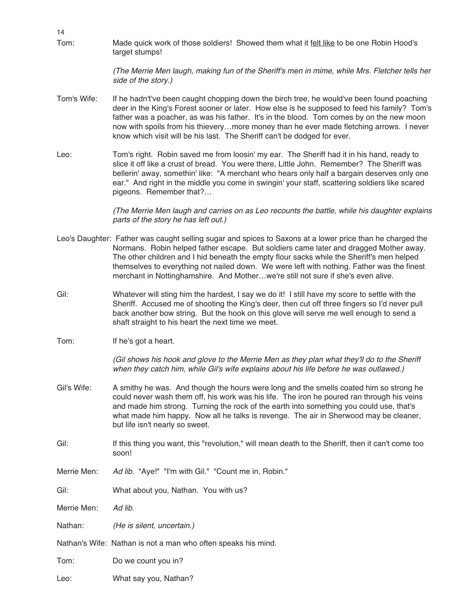Tom: Made quick work of those soldiers! Showed them what it felt like to be one Robin Hood's target stumps!

> (The Merrie Men laugh, making fun of the Sheriff's men in mime, while Mrs. Fletcher tells her side of the story.)

- Tom's Wife: If he hadn't've been caught chopping down the birch tree, he would've been found poaching deer in the King's Forest sooner or later. How else is he supposed to feed his family? Tom's father was a poacher, as was his father. It's in the blood. Tom comes by on the new moon now with spoils from his thievery…more money than he ever made fletching arrows. I never know which visit will be his last. The Sheriff can't be dodged for ever.
- Leo: Tom's right. Robin saved me from loosin' my ear. The Sheriff had it in his hand, ready to slice it off like a crust of bread. You were there, Little John. Remember? The Sheriff was bellerin' away, somethin' like: "A merchant who hears only half a bargain deserves only one ear." And right in the middle you come in swingin' your staff, scattering soldiers like scared pigeons. Remember that?…

(The Merrie Men laugh and carries on as Leo recounts the battle, while his daughter explains parts of the story he has left out.)

- Leo's Daughter: Father was caught selling sugar and spices to Saxons at a lower price than he charged the Normans. Robin helped father escape. But soldiers came later and dragged Mother away. The other children and I hid beneath the empty flour sacks while the Sheriff's men helped themselves to everything not nailed down. We were left with nothing. Father was the finest merchant in Nottinghamshire. And Mother…we're still not sure if she's even alive.
- Gil: Whatever will sting him the hardest, I say we do it! I still have my score to settle with the Sheriff. Accused me of shooting the King's deer, then cut off three fingers so I'd never pull back another bow string. But the hook on this glove will serve me well enough to send a shaft straight to his heart the next time we meet.
- Tom: If he's got a heart.

14

(Gil shows his hook and glove to the Merrie Men as they plan what they'll do to the Sheriff when they catch him, while Gil's wife explains about his life before he was outlawed.)

- Gil's Wife: A smithy he was. And though the hours were long and the smells coated him so strong he could never wash them off, his work was his life. The iron he poured ran through his veins and made him strong. Turning the rock of the earth into something you could use, that's what made him happy. Now all he talks is revenge. The air in Sherwood may be cleaner, but life isn't nearly so sweet.
- Gil: If this thing you want, this "revolution," will mean death to the Sheriff, then it can't come too soon!
- Merrie Men: Ad lib. "Aye!" "I'm with Gil." "Count me in, Robin."
- Gil: What about you, Nathan. You with us?
- Merrie Men: Ad lib.
- Nathan: (He is silent, uncertain.)
- Nathan's Wife: Nathan is not a man who often speaks his mind.
- Tom: Do we count you in?
- Leo: What say you, Nathan?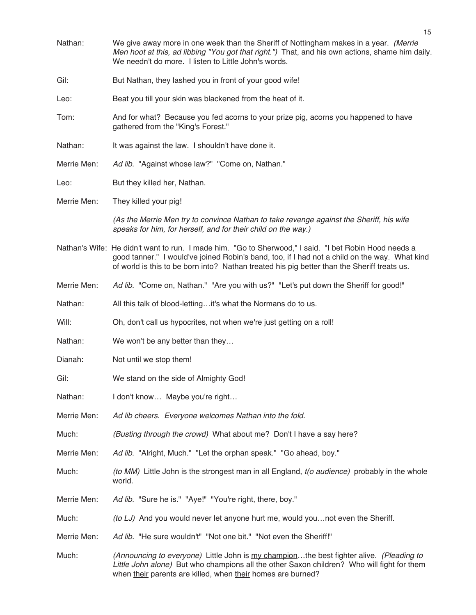| Nathan:     | We give away more in one week than the Sheriff of Nottingham makes in a year. (Merrie<br>Men hoot at this, ad libbing "You got that right.") That, and his own actions, shame him daily.<br>We needn't do more. I listen to Little John's words.                                                      |
|-------------|-------------------------------------------------------------------------------------------------------------------------------------------------------------------------------------------------------------------------------------------------------------------------------------------------------|
| Gil:        | But Nathan, they lashed you in front of your good wife!                                                                                                                                                                                                                                               |
| Leo:        | Beat you till your skin was blackened from the heat of it.                                                                                                                                                                                                                                            |
| Tom:        | And for what? Because you fed acorns to your prize pig, acorns you happened to have<br>gathered from the "King's Forest."                                                                                                                                                                             |
| Nathan:     | It was against the law. I shouldn't have done it.                                                                                                                                                                                                                                                     |
| Merrie Men: | Ad lib. "Against whose law?" "Come on, Nathan."                                                                                                                                                                                                                                                       |
| Leo:        | But they killed her, Nathan.                                                                                                                                                                                                                                                                          |
| Merrie Men: | They killed your pig!                                                                                                                                                                                                                                                                                 |
|             | (As the Merrie Men try to convince Nathan to take revenge against the Sheriff, his wife<br>speaks for him, for herself, and for their child on the way.)                                                                                                                                              |
|             | Nathan's Wife: He didn't want to run. I made him. "Go to Sherwood," I said. "I bet Robin Hood needs a<br>good tanner." I would've joined Robin's band, too, if I had not a child on the way. What kind<br>of world is this to be born into? Nathan treated his pig better than the Sheriff treats us. |
| Merrie Men: | Ad lib. "Come on, Nathan." "Are you with us?" "Let's put down the Sheriff for good!"                                                                                                                                                                                                                  |
| Nathan:     | All this talk of blood-lettingit's what the Normans do to us.                                                                                                                                                                                                                                         |
| Will:       | Oh, don't call us hypocrites, not when we're just getting on a roll!                                                                                                                                                                                                                                  |
| Nathan:     | We won't be any better than they                                                                                                                                                                                                                                                                      |
| Dianah:     | Not until we stop them!                                                                                                                                                                                                                                                                               |
| Gil:        | We stand on the side of Almighty God!                                                                                                                                                                                                                                                                 |
| Nathan:     | I don't know Maybe you're right                                                                                                                                                                                                                                                                       |
| Merrie Men: | Ad lib cheers. Everyone welcomes Nathan into the fold.                                                                                                                                                                                                                                                |
| Much:       | (Busting through the crowd) What about me? Don't I have a say here?                                                                                                                                                                                                                                   |
| Merrie Men: | Ad lib. "Alright, Much." "Let the orphan speak." "Go ahead, boy."                                                                                                                                                                                                                                     |
| Much:       | (to MM) Little John is the strongest man in all England, t(o audience) probably in the whole<br>world.                                                                                                                                                                                                |
| Merrie Men: | Ad lib. "Sure he is." "Aye!" "You're right, there, boy."                                                                                                                                                                                                                                              |
| Much:       | (to LJ) And you would never let anyone hurt me, would younot even the Sheriff.                                                                                                                                                                                                                        |
| Merrie Men: | Ad lib. "He sure wouldn't" "Not one bit." "Not even the Sheriff!"                                                                                                                                                                                                                                     |
| Much:       | (Announcing to everyone) Little John is my championthe best fighter alive. (Pleading to<br>Little John alone) But who champions all the other Saxon children? Who will fight for them<br>when their parents are killed, when their homes are burned?                                                  |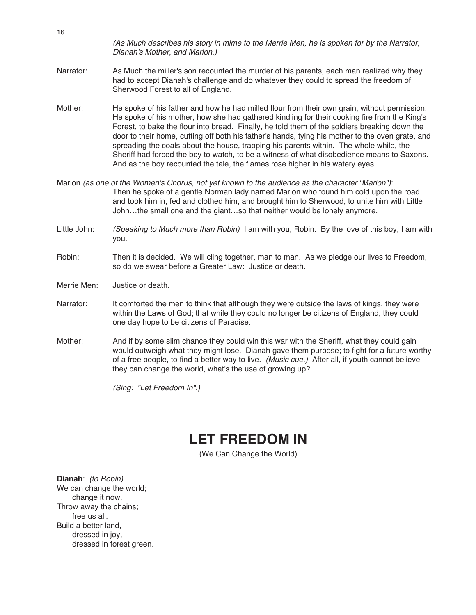(As Much describes his story in mime to the Merrie Men, he is spoken for by the Narrator, Dianah's Mother, and Marion.)

- Narrator: As Much the miller's son recounted the murder of his parents, each man realized why they had to accept Dianah's challenge and do whatever they could to spread the freedom of Sherwood Forest to all of England.
- Mother: He spoke of his father and how he had milled flour from their own grain, without permission. He spoke of his mother, how she had gathered kindling for their cooking fire from the King's Forest, to bake the flour into bread. Finally, he told them of the soldiers breaking down the door to their home, cutting off both his father's hands, tying his mother to the oven grate, and spreading the coals about the house, trapping his parents within. The whole while, the Sheriff had forced the boy to watch, to be a witness of what disobedience means to Saxons. And as the boy recounted the tale, the flames rose higher in his watery eyes.
- Marion (as one of the Women's Chorus, not yet known to the audience as the character "Marion"): Then he spoke of a gentle Norman lady named Marion who found him cold upon the road and took him in, fed and clothed him, and brought him to Sherwood, to unite him with Little John…the small one and the giant…so that neither would be lonely anymore.
- Little John: (Speaking to Much more than Robin) I am with you, Robin. By the love of this boy, I am with you.
- Robin: Then it is decided. We will cling together, man to man. As we pledge our lives to Freedom, so do we swear before a Greater Law: Justice or death.
- Merrie Men: Justice or death.
- Narrator: It comforted the men to think that although they were outside the laws of kings, they were within the Laws of God; that while they could no longer be citizens of England, they could one day hope to be citizens of Paradise.
- Mother: And if by some slim chance they could win this war with the Sheriff, what they could gain would outweigh what they might lose. Dianah gave them purpose; to fight for a future worthy of a free people, to find a better way to live. (Music cue.) After all, if youth cannot believe they can change the world, what's the use of growing up?

(Sing: "Let Freedom In".)

### **LET FREEDOM IN**

(We Can Change the World)

**Dianah**: (to Robin) We can change the world; change it now. Throw away the chains; free us all. Build a better land, dressed in joy, dressed in forest green.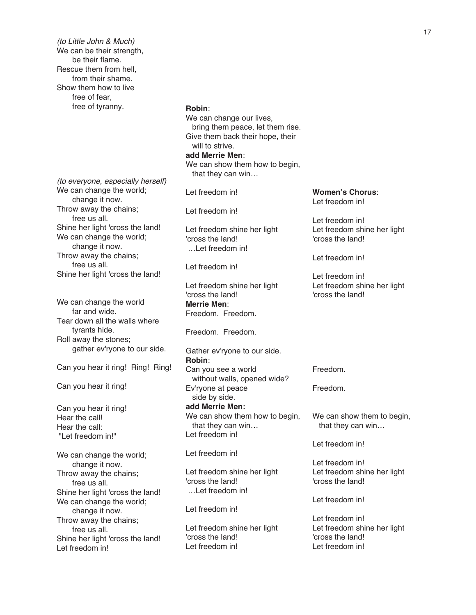(to Little John & Much) We can be their strength, be their flame. Rescue them from hell, from their shame. Show them how to live free of fear, free of tyranny.

(to everyone, especially herself) We can change the world; change it now. Throw away the chains; free us all. Shine her light 'cross the land! We can change the world; change it now. Throw away the chains; free us all. Shine her light 'cross the land!

We can change the world far and wide. Tear down all the walls where tyrants hide. Roll away the stones; gather ev'ryone to our side.

Can you hear it ring! Ring! Ring!

Can you hear it ring!

Can you hear it ring! Hear the call! Hear the call: "Let freedom in!"

We can change the world; change it now. Throw away the chains; free us all. Shine her light 'cross the land! We can change the world; change it now. Throw away the chains; free us all. Shine her light 'cross the land! Let freedom in!

### **Robin**: We can change our lives,

bring them peace, let them rise. Give them back their hope, their will to strive. **add Merrie Men**: We can show them how to begin, that they can win…

Let freedom in!

Let freedom in!

Let freedom shine her light 'cross the land! …Let freedom in!

Let freedom in!

Let freedom shine her light 'cross the land! **Merrie Men**: Freedom. Freedom.

Freedom. Freedom.

Gather ev'ryone to our side. **Robin**: Can you see a world without walls, opened wide? Ev'ryone at peace side by side. **add Merrie Men:** We can show them how to begin, that they can win… Let freedom in!

Let freedom in!

Let freedom shine her light 'cross the land! …Let freedom in!

Let freedom in!

Let freedom shine her light 'cross the land! Let freedom in!

**Women's Chorus**: Let freedom in!

Let freedom in! Let freedom shine her light 'cross the land!

Let freedom in!

Let freedom in! Let freedom shine her light 'cross the land!

Freedom.

Freedom.

We can show them to begin, that they can win…

Let freedom in!

Let freedom in! Let freedom shine her light 'cross the land!

Let freedom in!

Let freedom in! Let freedom shine her light 'cross the land! Let freedom in!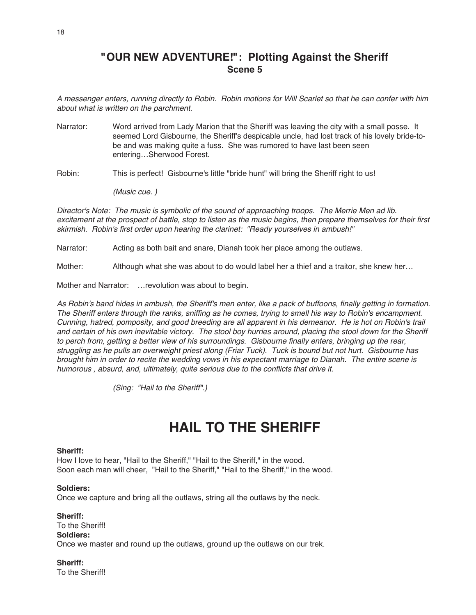### **"OUR NEW ADVENTURE!": Plotting Against the Sheriff Scene 5**

A messenger enters, running directly to Robin. Robin motions for Will Scarlet so that he can confer with him about what is written on the parchment.

Narrator: Word arrived from Lady Marion that the Sheriff was leaving the city with a small posse. It seemed Lord Gisbourne, the Sheriff's despicable uncle, had lost track of his lovely bride-tobe and was making quite a fuss. She was rumored to have last been seen entering…Sherwood Forest.

Robin: This is perfect! Gisbourne's little "bride hunt" will bring the Sheriff right to us!

(Music cue. )

Director's Note: The music is symbolic of the sound of approaching troops. The Merrie Men ad lib. excitement at the prospect of battle, stop to listen as the music begins, then prepare themselves for their first skirmish. Robin's first order upon hearing the clarinet: "Ready yourselves in ambush!"

Narrator: Acting as both bait and snare, Dianah took her place among the outlaws.

Mother: Although what she was about to do would label her a thief and a traitor, she knew her...

Mother and Narrator: …revolution was about to begin.

As Robin's band hides in ambush, the Sheriff's men enter, like <sup>a</sup> pack of buffoons, finally getting in formation. The Sheriff enters through the ranks, sniffing as he comes, trying to smell his way to Robin's encampment. Cunning, hatred, pomposity, and good breeding are all apparent in his demeanor. He is hot on Robin's trail and certain of his own inevitable victory. The stool boy hurries around, placing the stool down for the Sheriff to perch from, getting <sup>a</sup> better view of his surroundings. Gisbourne finally enters, bringing up the rear, struggling as he pulls an overweight priest along (Friar Tuck). Tuck is bound but not hurt. Gisbourne has brought him in order to recite the wedding vows in his expectant marriage to Dianah. The entire scene is humorous , absurd, and, ultimately, quite serious due to the conflicts that drive it.

(Sing: "Hail to the Sheriff".)

## **HAIL TO THE SHERIFF**

#### **Sheriff:**

How I love to hear, "Hail to the Sheriff," "Hail to the Sheriff," in the wood. Soon each man will cheer, "Hail to the Sheriff," "Hail to the Sheriff," in the wood.

### **Soldiers:**

Once we capture and bring all the outlaws, string all the outlaws by the neck.

**Sheriff:** To the Sheriff! **Soldiers:** Once we master and round up the outlaws, ground up the outlaws on our trek.

**Sheriff:** To the Sheriff!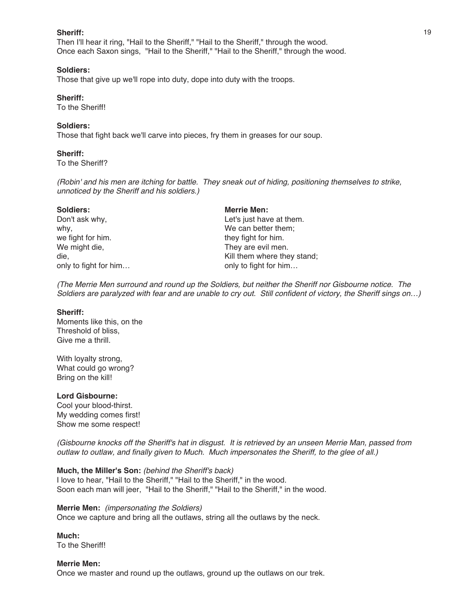#### **Sheriff:**

Then I'll hear it ring, "Hail to the Sheriff," "Hail to the Sheriff," through the wood. Once each Saxon sings, "Hail to the Sheriff," "Hail to the Sheriff," through the wood.

#### **Soldiers:**

Those that give up we'll rope into duty, dope into duty with the troops.

#### **Sheriff:**

To the Sheriff!

#### **Soldiers:**

Those that fight back we'll carve into pieces, fry them in greases for our soup.

#### **Sheriff:**

To the Sheriff?

(Robin' and his men are itching for battle. They sneak out of hiding, positioning themselves to strike, unnoticed by the Sheriff and his soldiers.)

| <b>Soldiers:</b>      | <b>Merrie Men:</b>          |
|-----------------------|-----------------------------|
| Don't ask why,        | Let's just have at them.    |
| why,                  | We can better them;         |
| we fight for him.     | they fight for him.         |
| We might die,         | They are evil men.          |
| die.                  | Kill them where they stand; |
| only to fight for him | only to fight for him       |

(The Merrie Men surround and round up the Soldiers, but neither the Sheriff nor Gisbourne notice. The Soldiers are paralyzed with fear and are unable to cry out. Still confident of victory, the Sheriff sings on…)

#### **Sheriff:**

Moments like this, on the Threshold of bliss, Give me a thrill.

With loyalty strong, What could go wrong? Bring on the kill!

#### **Lord Gisbourne:**

Cool your blood-thirst. My wedding comes first! Show me some respect!

(Gisbourne knocks off the Sheriff's hat in disgust. It is retrieved by an unseen Merrie Man, passed from outlaw to outlaw, and finally given to Much. Much impersonates the Sheriff, to the glee of all.)

#### **Much, the Miller's Son:** (behind the Sheriff's back)

I love to hear, "Hail to the Sheriff," "Hail to the Sheriff," in the wood. Soon each man will jeer, "Hail to the Sheriff," "Hail to the Sheriff," in the wood.

**Merrie Men:** (impersonating the Soldiers) Once we capture and bring all the outlaws, string all the outlaws by the neck.

**Much:** To the Sheriff!

### **Merrie Men:** Once we master and round up the outlaws, ground up the outlaws on our trek.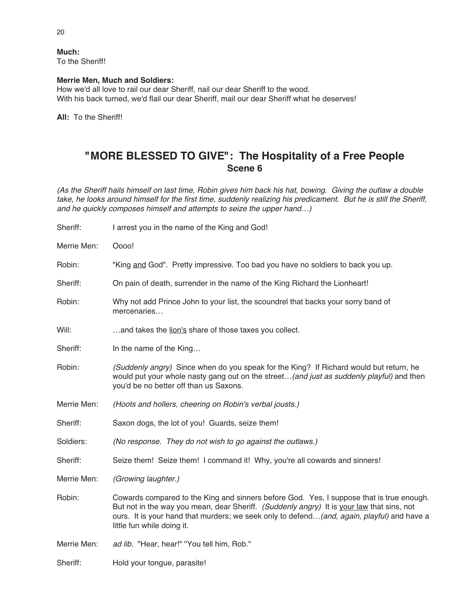#### **Much:**

To the Sheriff!

### **Merrie Men, Much and Soldiers:**

How we'd all love to rail our dear Sheriff, nail our dear Sheriff to the wood. With his back turned, we'd flail our dear Sheriff, mail our dear Sheriff what he deserves!

**All:** To the Sheriff!

### **"MORE BLESSED TO GIVE": The Hospitality of a Free People Scene 6**

(As the Sheriff hails himself on last time, Robin gives him back his hat, bowing. Giving the outlaw <sup>a</sup> double take, he looks around himself for the first time, suddenly realizing his predicament. But he is still the Sheriff, and he quickly composes himself and attempts to seize the upper hand…)

| Sheriff:    | I arrest you in the name of the King and God!                                                                                                                                                                                                                                                                      |
|-------------|--------------------------------------------------------------------------------------------------------------------------------------------------------------------------------------------------------------------------------------------------------------------------------------------------------------------|
| Merrie Men: | Oooo!                                                                                                                                                                                                                                                                                                              |
| Robin:      | "King and God". Pretty impressive. Too bad you have no soldiers to back you up.                                                                                                                                                                                                                                    |
| Sheriff:    | On pain of death, surrender in the name of the King Richard the Lionheart!                                                                                                                                                                                                                                         |
| Robin:      | Why not add Prince John to your list, the scoundrel that backs your sorry band of<br>mercenaries                                                                                                                                                                                                                   |
| Will:       | and takes the lion's share of those taxes you collect.                                                                                                                                                                                                                                                             |
| Sheriff:    | In the name of the King                                                                                                                                                                                                                                                                                            |
| Robin:      | (Suddenly angry) Since when do you speak for the King? If Richard would but return, he<br>would put your whole nasty gang out on the street (and just as suddenly playful) and then<br>you'd be no better off than us Saxons.                                                                                      |
| Merrie Men: | (Hoots and hollers, cheering on Robin's verbal jousts.)                                                                                                                                                                                                                                                            |
| Sheriff:    | Saxon dogs, the lot of you! Guards, seize them!                                                                                                                                                                                                                                                                    |
| Soldiers:   | (No response. They do not wish to go against the outlaws.)                                                                                                                                                                                                                                                         |
| Sheriff:    | Seize them! Seize them! I command it! Why, you're all cowards and sinners!                                                                                                                                                                                                                                         |
| Merrie Men: | (Growing laughter.)                                                                                                                                                                                                                                                                                                |
| Robin:      | Cowards compared to the King and sinners before God. Yes, I suppose that is true enough.<br>But not in the way you mean, dear Sheriff. (Suddenly angry) It is your law that sins, not<br>ours. It is your hand that murders; we seek only to defend (and, again, playful) and have a<br>little fun while doing it. |
| Merrie Men: | ad lib. "Hear, hear!" "You tell him, Rob."                                                                                                                                                                                                                                                                         |
| Sheriff:    | Hold your tongue, parasite!                                                                                                                                                                                                                                                                                        |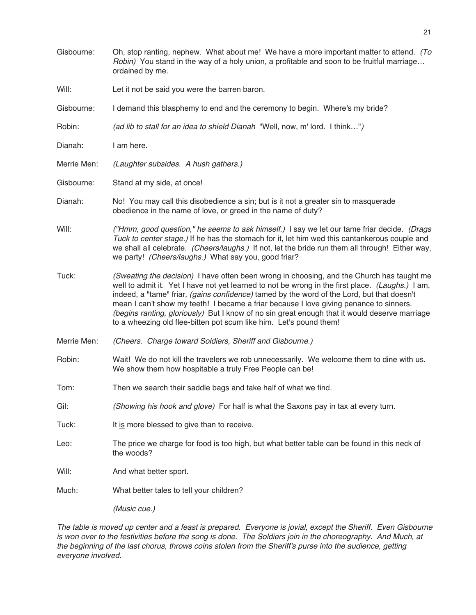Gisbourne: Oh, stop ranting, nephew. What about me! We have a more important matter to attend. (To Robin) You stand in the way of a holy union, a profitable and soon to be fruitful marriage… ordained by me. Will: Let it not be said you were the barren baron. Gisbourne: I demand this blasphemy to end and the ceremony to begin. Where's my bride? Robin: (ad lib to stall for an idea to shield Dianah "Well, now, m' lord. I think...") Dianah: I am here. Merrie Men: (Laughter subsides. A hush gathers.) Gisbourne: Stand at my side, at once! Dianah: No! You may call this disobedience a sin; but is it not a greater sin to masquerade obedience in the name of love, or greed in the name of duty? Will: ("Hmm, good question," he seems to ask himself.) I say we let our tame friar decide. (Drags Tuck to center stage.) If he has the stomach for it, let him wed this cantankerous couple and we shall all celebrate. (Cheers/laughs.) If not, let the bride run them all through! Either way, we party! (Cheers/laughs.) What say you, good friar? Tuck: (Sweating the decision) I have often been wrong in choosing, and the Church has taught me well to admit it. Yet I have not yet learned to not be wrong in the first place. (Laughs.) I am, indeed, a "tame" friar, (gains confidence) tamed by the word of the Lord, but that doesn't mean I can't show my teeth! I became a friar because I love giving penance to sinners. (begins ranting, gloriously) But I know of no sin great enough that it would deserve marriage to a wheezing old flee-bitten pot scum like him. Let's pound them! Merrie Men: (Cheers. Charge toward Soldiers, Sheriff and Gisbourne.) Robin: Wait! We do not kill the travelers we rob unnecessarily. We welcome them to dine with us. We show them how hospitable a truly Free People can be! Tom: Then we search their saddle bags and take half of what we find. Gil: (Showing his hook and glove) For half is what the Saxons pay in tax at every turn. Tuck: It is more blessed to give than to receive. Leo: The price we charge for food is too high, but what better table can be found in this neck of the woods? Will: And what better sport. Much: What better tales to tell your children? (Music cue.)

The table is moved up center and <sup>a</sup> feast is prepared. Everyone is jovial, except the Sheriff. Even Gisbourne is won over to the festivities before the song is done. The Soldiers join in the choreography. And Much, at the beginning of the last chorus, throws coins stolen from the Sheriff's purse into the audience, getting everyone involved.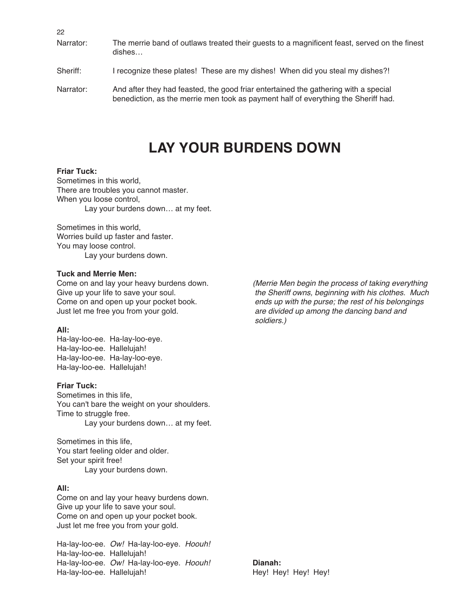22

- Narrator: The merrie band of outlaws treated their guests to a magnificent feast, served on the finest dishes…
- Sheriff: I recognize these plates! These are my dishes! When did you steal my dishes?!
- Narrator: And after they had feasted, the good friar entertained the gathering with a special benediction, as the merrie men took as payment half of everything the Sheriff had.

## **LAY YOUR BURDENS DOWN**

### **Friar Tuck:**

Sometimes in this world, There are troubles you cannot master. When you loose control, Lay your burdens down… at my feet.

Sometimes in this world, Worries build up faster and faster. You may loose control. Lay your burdens down.

#### **Tuck and Merrie Men:**

### **All:**

Ha-lay-loo-ee. Ha-lay-loo-eye. Ha-lay-loo-ee. Hallelujah! Ha-lay-loo-ee. Ha-lay-loo-eye. Ha-lay-loo-ee. Hallelujah!

#### **Friar Tuck:**

Sometimes in this life, You can't bare the weight on your shoulders. Time to struggle free. Lay your burdens down… at my feet.

Sometimes in this life, You start feeling older and older. Set your spirit free! Lay your burdens down.

### **All:**

Come on and lay your heavy burdens down. Give up your life to save your soul. Come on and open up your pocket book. Just let me free you from your gold.

Ha-lay-loo-ee. Ow! Ha-lay-loo-eye. Hoouh! Ha-lay-loo-ee. Hallelujah! Ha-lay-loo-ee. Ow! Ha-lay-loo-eye. Hoouh! **Dianah:** Ha-lay-loo-ee. Hallelujah! Hey! Hey! Hey! Hey! Hey! Hey! Hey!

Come on and lay your heavy burdens down. (Merrie Men begin the process of taking everything Give up your life to save your soul. The Sheriff owns, beginning with his clothes. Much Come on and open up your pocket book. ends up with the purse; the rest of his belongings Just let me free you from your gold. And are divided up among the dancing band and soldiers.)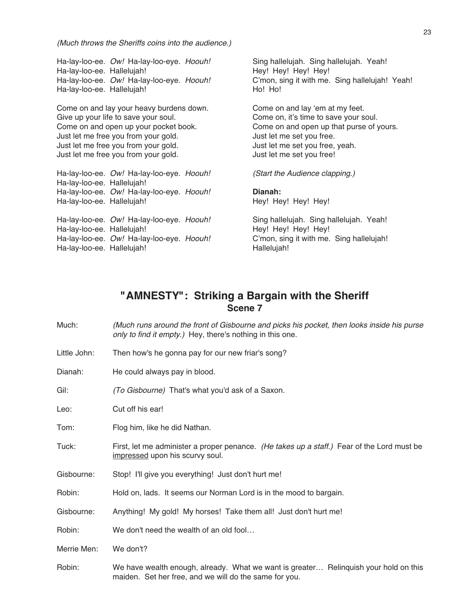(Much throws the Sheriffs coins into the audience.)

Ha-lay-loo-ee. Ow! Ha-lay-loo-eye. Hoouh! Sing hallelujah. Sing hallelujah. Yeah! Ha-lay-loo-ee. Hallelujah! Hey! Hey! Hey! Hey! Hey! Hey! Hey! Ha-lay-loo-ee. Hallelujah!

Come on and lay your heavy burdens down. Come on and lay ʻem at my feet. Give up your life to save your soul. Come on, it's time to save your soul. Come on and open up your pocket book. Come on and open up that purse of yours. Just let me free you from your gold. Just let me set you free. Just let me free you from your gold. Just let me set you free, yeah. Just let me free you from your gold. Just let me set you free!

Ha-lay-loo-ee. Ow! Ha-lay-loo-eye. Hoouh! (Start the Audience clapping.) Ha-lay-loo-ee. Hallelujah! Ha-lay-loo-ee. Ow! Ha-lay-loo-eye. Hoouh! **Dianah:** Ha-lay-loo-ee. Hallelujah! Hey! Hey! Hey! Hey! Hey! Hey! Hey! Ha-lay-loo-ee. Ow! Ha-lay-loo-eye. Hoouh! Sing hallelujah. Sing hallelujah. Yeah!

Ha-lay-loo-ee. Hallelujah! Hey! Hey! Hey! Hey! Ha-lay-loo-ee. Ow! Ha-lay-loo-eye. Hoouh! C'mon, sing it with me. Sing hallelujah! Ha-lay-loo-ee. Hallelujah! Hallelujah! Hallelujah!

Ha-lay-loo-ee. Ow! Ha-lay-loo-eye. Hoouh! C'mon, sing it with me. Sing hallelujah! Yeah!<br>Ha-lay-loo-ee. Halleluiah! Ho! Ho! Ho! Ho! Ho! Ho!

### **"AMNESTY": Striking a Bargain with the Sheriff Scene 7**

- Much: (Much runs around the front of Gisbourne and picks his pocket, then looks inside his purse only to find it empty.) Hey, there's nothing in this one.
- Little John: Then how's he gonna pay for our new friar's song?
- Dianah: He could always pay in blood.

Gil: (To Gisbourne) That's what you'd ask of a Saxon.

Leo: Cut off his ear!

Tom: Flog him, like he did Nathan.

- Tuck: First, let me administer a proper penance. (He takes up a staff.) Fear of the Lord must be impressed upon his scurvy soul.
- Gisbourne: Stop! I'll give you everything! Just don't hurt me!
- Robin: Hold on, lads. It seems our Norman Lord is in the mood to bargain.
- Gisbourne: Anything! My gold! My horses! Take them all! Just don't hurt me!

Robin: We don't need the wealth of an old fool...

Merrie Men: We don't?

Robin: We have wealth enough, already. What we want is greater… Relinquish your hold on this maiden. Set her free, and we will do the same for you.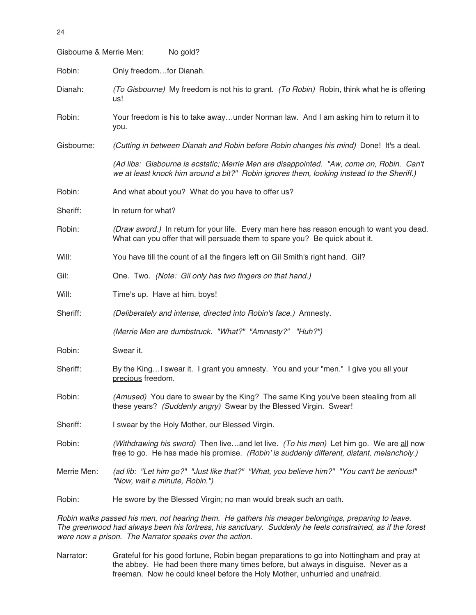| Gisbourne & Merrie Men: | No gold?                                                                                                                                                                              |
|-------------------------|---------------------------------------------------------------------------------------------------------------------------------------------------------------------------------------|
| Robin:                  | Only freedomfor Dianah.                                                                                                                                                               |
| Dianah:                 | (To Gisbourne) My freedom is not his to grant. (To Robin) Robin, think what he is offering<br>us!                                                                                     |
| Robin:                  | Your freedom is his to take awayunder Norman law. And I am asking him to return it to<br>you.                                                                                         |
| Gisbourne:              | (Cutting in between Dianah and Robin before Robin changes his mind) Done! It's a deal.                                                                                                |
|                         | (Ad libs: Gisbourne is ecstatic; Merrie Men are disappointed. "Aw, come on, Robin. Can't<br>we at least knock him around a bit?" Robin ignores them, looking instead to the Sheriff.) |
| Robin:                  | And what about you? What do you have to offer us?                                                                                                                                     |
| Sheriff:                | In return for what?                                                                                                                                                                   |
| Robin:                  | (Draw sword.) In return for your life. Every man here has reason enough to want you dead.<br>What can you offer that will persuade them to spare you? Be quick about it.              |
| Will:                   | You have till the count of all the fingers left on Gil Smith's right hand. Gil?                                                                                                       |
| Gil:                    | One. Two. (Note: Gil only has two fingers on that hand.)                                                                                                                              |
| Will:                   | Time's up. Have at him, boys!                                                                                                                                                         |
| Sheriff:                | (Deliberately and intense, directed into Robin's face.) Amnesty.                                                                                                                      |
|                         | (Merrie Men are dumbstruck. "What?" "Amnesty?" "Huh?")                                                                                                                                |
| Robin:                  | Swear it.                                                                                                                                                                             |
| Sheriff:                | By the KingI swear it. I grant you amnesty. You and your "men." I give you all your<br>precious freedom.                                                                              |
| Robin:                  | (Amused) You dare to swear by the King? The same King you've been stealing from all<br>these years? (Suddenly angry) Swear by the Blessed Virgin. Swear!                              |
| Sheriff:                | I swear by the Holy Mother, our Blessed Virgin.                                                                                                                                       |
| Robin:                  | (Withdrawing his sword) Then liveand let live. (To his men) Let him go. We are all now<br>free to go. He has made his promise. (Robin' is suddenly different, distant, melancholy.)   |
| Merrie Men:             | (ad lib: "Let him go?" "Just like that?" "What, you believe him?" "You can't be serious!"<br>"Now, wait a minute, Robin.")                                                            |
| Robin:                  | He swore by the Blessed Virgin; no man would break such an oath.                                                                                                                      |
|                         |                                                                                                                                                                                       |

Robin walks passed his men, not hearing them. He gathers his meager belongings, preparing to leave. The greenwood had always been his fortress, his sanctuary. Suddenly he feels constrained, as if the forest were now <sup>a</sup> prison. The Narrator speaks over the action.

Narrator: Grateful for his good fortune, Robin began preparations to go into Nottingham and pray at the abbey. He had been there many times before, but always in disguise. Never as a freeman. Now he could kneel before the Holy Mother, unhurried and unafraid.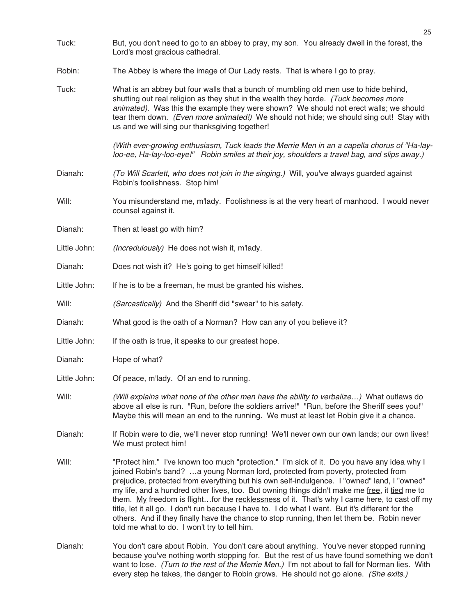- Tuck: But, you don't need to go to an abbey to pray, my son. You already dwell in the forest, the Lord's most gracious cathedral.
- Robin: The Abbey is where the image of Our Lady rests. That is where I go to pray.
- Tuck: What is an abbey but four walls that a bunch of mumbling old men use to hide behind, shutting out real religion as they shut in the wealth they horde. (Tuck becomes more animated). Was this the example they were shown? We should not erect walls; we should tear them down. (Even more animated!) We should not hide; we should sing out! Stay with us and we will sing our thanksgiving together!

(With ever-growing enthusiasm, Tuck leads the Merrie Men in an <sup>a</sup> capella chorus of "Ha-layloo-ee, Ha-lay-loo-eye!" Robin smiles at their joy, shoulders <sup>a</sup> travel bag, and slips away.)

- Dianah: (To Will Scarlett, who does not join in the singing.) Will, you've always guarded against Robin's foolishness. Stop him!
- Will: You misunderstand me, m'lady. Foolishness is at the very heart of manhood. I would never counsel against it.
- Dianah: Then at least go with him?
- Little John: (Incredulously) He does not wish it, m'lady.
- Dianah: Does not wish it? He's going to get himself killed!
- Little John: If he is to be a freeman, he must be granted his wishes.
- Will: (Sarcastically) And the Sheriff did "swear" to his safety.
- Dianah: What good is the oath of a Norman? How can any of you believe it?
- Little John: If the oath is true, it speaks to our greatest hope.
- Dianah: Hope of what?
- Little John: Of peace, m'lady. Of an end to running.
- Will: (Will explains what none of the other men have the ability to verbalize...) What outlaws do above all else is run. "Run, before the soldiers arrive!" "Run, before the Sheriff sees you!" Maybe this will mean an end to the running. We must at least let Robin give it a chance.
- Dianah: If Robin were to die, we'll never stop running! We'll never own our own lands; our own lives! We must protect him!
- Will: "Protect him." I've known too much "protection." I'm sick of it. Do you have any idea why I joined Robin's band? …a young Norman lord, protected from poverty, protected from prejudice, protected from everything but his own self-indulgence. I "owned" land, I "owned" my life, and a hundred other lives, too. But owning things didn't make me free, it tied me to them. My freedom is flight...for the recklessness of it. That's why I came here, to cast off my title, let it all go. I don't run because I have to. I do what I want. But it's different for the others. And if they finally have the chance to stop running, then let them be. Robin never told me what to do. I won't try to tell him.
- Dianah: You don't care about Robin. You don't care about anything. You've never stopped running because you've nothing worth stopping for. But the rest of us have found something we don't want to lose. (Turn to the rest of the Merrie Men.) I'm not about to fall for Norman lies. With every step he takes, the danger to Robin grows. He should not go alone. (She exits.)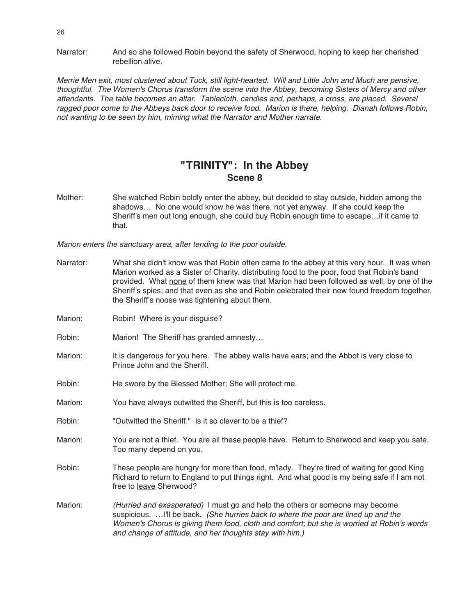Narrator: And so she followed Robin beyond the safety of Sherwood, hoping to keep her cherished rebellion alive.

Merrie Men exit, most clustered about Tuck, still light-hearted. Will and Little John and Much are pensive, thoughtful. The Women's Chorus transform the scene into the Abbey, becoming Sisters of Mercy and other attendants. The table becomes an altar. Tablecloth, candles and, perhaps, <sup>a</sup> cross, are placed. Several ragged poor come to the Abbeys back door to receive food. Marion is there, helping. Dianah follows Robin, not wanting to be seen by him, miming what the Narrator and Mother narrate.

### **"TRINITY": In the Abbey Scene 8**

Mother: She watched Robin boldly enter the abbey, but decided to stay outside, hidden among the shadows… No one would know he was there, not yet anyway. If she could keep the Sheriff's men out long enough, she could buy Robin enough time to escape…if it came to that.

Marion enters the sanctuary area, after tending to the poor outside.

| Narrator: | What she didn't know was that Robin often came to the abbey at this very hour. It was when<br>Marion worked as a Sister of Charity, distributing food to the poor, food that Robin's band<br>provided. What none of them knew was that Marion had been followed as well, by one of the<br>Sheriff's spies; and that even as she and Robin celebrated their new found freedom together,<br>the Sheriff's noose was tightening about them. |
|-----------|------------------------------------------------------------------------------------------------------------------------------------------------------------------------------------------------------------------------------------------------------------------------------------------------------------------------------------------------------------------------------------------------------------------------------------------|
| Marion:   | Robin! Where is your disguise?                                                                                                                                                                                                                                                                                                                                                                                                           |
| Robin:    | Marion! The Sheriff has granted amnesty                                                                                                                                                                                                                                                                                                                                                                                                  |
| Marion:   | It is dangerous for you here. The abbey walls have ears; and the Abbot is very close to<br>Prince John and the Sheriff.                                                                                                                                                                                                                                                                                                                  |
| Robin:    | He swore by the Blessed Mother; She will protect me.                                                                                                                                                                                                                                                                                                                                                                                     |
| Marion:   | You have always outwitted the Sheriff, but this is too careless.                                                                                                                                                                                                                                                                                                                                                                         |
| Robin:    | "Outwitted the Sheriff." Is it so clever to be a thief?                                                                                                                                                                                                                                                                                                                                                                                  |
| Marion:   | You are not a thief. You are all these people have. Return to Sherwood and keep you safe.<br>Too many depend on you.                                                                                                                                                                                                                                                                                                                     |
| Robin:    | These people are hungry for more than food, m'lady. They're tired of waiting for good King<br>Richard to return to England to put things right. And what good is my being safe if I am not<br>free to leave Sherwood?                                                                                                                                                                                                                    |
| Marion:   | (Hurried and exasperated) I must go and help the others or someone may become<br>suspicious.  I'll be back. (She hurries back to where the poor are lined up and the<br>Women's Chorus is giving them food, cloth and comfort; but she is worried at Robin's words<br>and change of attitude, and her thoughts stay with him.)                                                                                                           |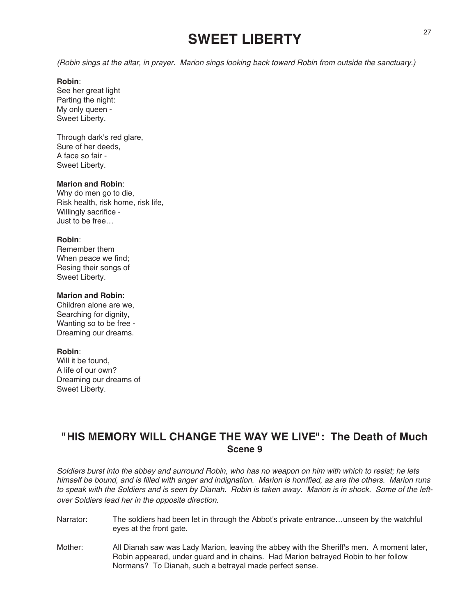## **SWEET LIBERTY**

(Robin sings at the altar, in prayer. Marion sings looking back toward Robin from outside the sanctuary.)

### **Robin**:

See her great light Parting the night: My only queen - Sweet Liberty.

Through dark's red glare, Sure of her deeds, A face so fair - Sweet Liberty.

### **Marion and Robin**:

Why do men go to die, Risk health, risk home, risk life, Willingly sacrifice - Just to be free…

#### **Robin**:

Remember them When peace we find; Resing their songs of Sweet Liberty.

### **Marion and Robin**:

Children alone are we, Searching for dignity, Wanting so to be free - Dreaming our dreams.

### **Robin**:

Will it be found A life of our own? Dreaming our dreams of Sweet Liberty.

### **"HIS MEMORY WILL CHANGE THE WAY WE LIVE": The Death of Much Scene 9**

Soldiers burst into the abbey and surround Robin, who has no weapon on him with which to resist; he lets himself be bound, and is filled with anger and indignation. Marion is horrified, as are the others. Marion runs to speak with the Soldiers and is seen by Dianah. Robin is taken away. Marion is in shock. Some of the leftover Soldiers lead her in the opposite direction.

- Narrator: The soldiers had been let in through the Abbot's private entrance…unseen by the watchful eyes at the front gate.
- Mother: All Dianah saw was Lady Marion, leaving the abbey with the Sheriff's men. A moment later, Robin appeared, under guard and in chains. Had Marion betrayed Robin to her follow Normans? To Dianah, such a betrayal made perfect sense.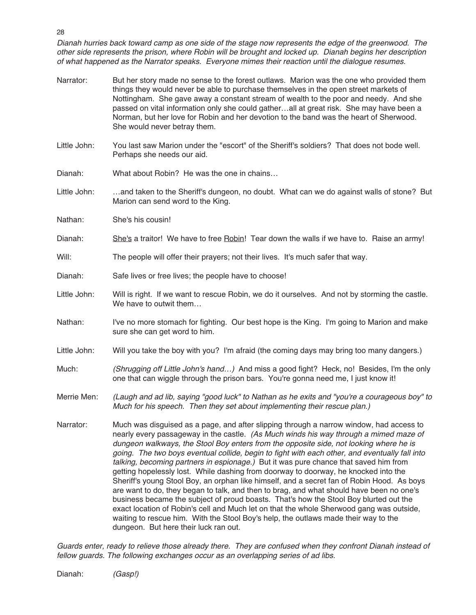Dianah hurries back toward camp as one side of the stage now represents the edge of the greenwood. The other side represents the prison, where Robin will be brought and locked up. Dianah begins her description of what happened as the Narrator speaks. Everyone mimes their reaction until the dialogue resumes.

Narrator: But her story made no sense to the forest outlaws. Marion was the one who provided them things they would never be able to purchase themselves in the open street markets of Nottingham. She gave away a constant stream of wealth to the poor and needy. And she passed on vital information only she could gather…all at great risk. She may have been a Norman, but her love for Robin and her devotion to the band was the heart of Sherwood. She would never betray them. Little John: You last saw Marion under the "escort" of the Sheriff's soldiers? That does not bode well. Perhaps she needs our aid. Dianah: What about Robin? He was the one in chains… Little John: …and taken to the Sheriff's dungeon, no doubt. What can we do against walls of stone? But Marion can send word to the King. Nathan: She's his cousin! Dianah: She's a traitor! We have to free Robin! Tear down the walls if we have to. Raise an army! Will: The people will offer their prayers; not their lives. It's much safer that way. Dianah: Safe lives or free lives; the people have to choose! Little John: Will is right. If we want to rescue Robin, we do it ourselves. And not by storming the castle. We have to outwit them… Nathan: I've no more stomach for fighting. Our best hope is the King. I'm going to Marion and make sure she can get word to him. Little John: Will you take the boy with you? I'm afraid (the coming days may bring too many dangers.) Much: (Shrugging off Little John's hand...) And miss a good fight? Heck, no! Besides, I'm the only one that can wiggle through the prison bars. You're gonna need me, I just know it! Merrie Men: (Laugh and ad lib, saying "good luck" to Nathan as he exits and "you're a courageous boy" to Much for his speech. Then they set about implementing their rescue plan.) Narrator: Much was disguised as a page, and after slipping through a narrow window, had access to nearly every passageway in the castle. (As Much winds his way through <sup>a</sup> mimed maze of dungeon walkways, the Stool Boy enters from the opposite side, not looking where he is going. The two boys eventual collide, begin to fight with each other, and eventually fall into talking, becoming partners in espionage.) But it was pure chance that saved him from getting hopelessly lost. While dashing from doorway to doorway, he knocked into the Sheriff's young Stool Boy, an orphan like himself, and a secret fan of Robin Hood. As boys are want to do, they began to talk, and then to brag, and what should have been no one's business became the subject of proud boasts. That's how the Stool Boy blurted out the exact location of Robin's cell and Much let on that the whole Sherwood gang was outside, waiting to rescue him. With the Stool Boy's help, the outlaws made their way to the

Guards enter, ready to relieve those already there. They are confused when they confront Dianah instead of fellow guards. The following exchanges occur as an overlapping series of ad libs.

dungeon. But here their luck ran out.

Dianah: (Gasp!)

28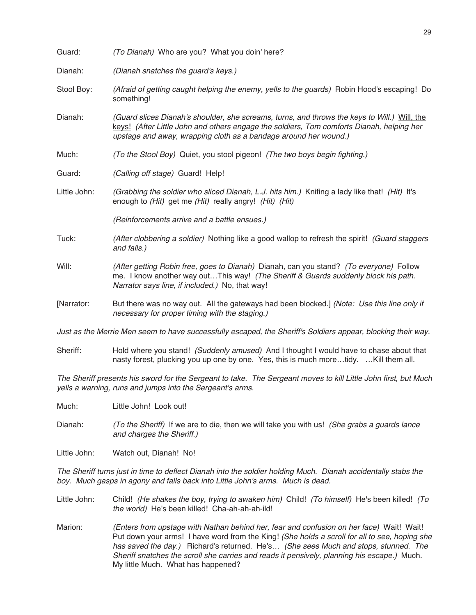| Guard:       | (To Dianah) Who are you? What you doin' here?                                                                                                                                                                                                                 |
|--------------|---------------------------------------------------------------------------------------------------------------------------------------------------------------------------------------------------------------------------------------------------------------|
| Dianah:      | (Dianah snatches the guard's keys.)                                                                                                                                                                                                                           |
| Stool Boy:   | (Afraid of getting caught helping the enemy, yells to the guards) Robin Hood's escaping! Do<br>something!                                                                                                                                                     |
| Dianah:      | (Guard slices Dianah's shoulder, she screams, turns, and throws the keys to Will.) Will, the<br>keys! (After Little John and others engage the soldiers, Tom comforts Dianah, helping her<br>upstage and away, wrapping cloth as a bandage around her wound.) |
| Much:        | (To the Stool Boy) Quiet, you stool pigeon! (The two boys begin fighting.)                                                                                                                                                                                    |
| Guard:       | (Calling off stage) Guard! Help!                                                                                                                                                                                                                              |
| Little John: | (Grabbing the soldier who sliced Dianah, L.J. hits him.) Knifing a lady like that! (Hit) It's<br>enough to (Hit) get me (Hit) really angry! (Hit) (Hit)                                                                                                       |
|              | (Reinforcements arrive and a battle ensues.)                                                                                                                                                                                                                  |
| Tuck:        | (After clobbering a soldier) Nothing like a good wallop to refresh the spirit! (Guard staggers<br>and falls.)                                                                                                                                                 |
| Will:        | (After getting Robin free, goes to Dianah) Dianah, can you stand? (To everyone) Follow<br>me. I know another way outThis way! (The Sheriff & Guards suddenly block his path.<br>Narrator says line, if included.) No, that way!                               |
| [Narrator:   | But there was no way out. All the gateways had been blocked.] (Note: Use this line only if<br>necessary for proper timing with the staging.)                                                                                                                  |

Just as the Merrie Men seem to have successfully escaped, the Sheriff's Soldiers appear, blocking their way.

Sheriff: Hold where you stand! (Suddenly amused) And I thought I would have to chase about that nasty forest, plucking you up one by one. Yes, this is much more…tidy. …Kill them all.

The Sheriff presents his sword for the Sergeant to take. The Sergeant moves to kill Little John first, but Much yells <sup>a</sup> warning, runs and jumps into the Sergeant's arms.

Much: Little John! Look out!

- Dianah: (To the Sheriff) If we are to die, then we will take you with us! (She grabs a guards lance and charges the Sheriff.)
- Little John: Watch out, Dianah! No!

The Sheriff turns just in time to deflect Dianah into the soldier holding Much. Dianah accidentally stabs the boy. Much gasps in agony and falls back into Little John's arms. Much is dead.

Little John: Child! (He shakes the boy, trying to awaken him) Child! (To himself) He's been killed! (To the world) He's been killed! Cha-ah-ah-ah-ild!

Marion: (Enters from upstage with Nathan behind her, fear and confusion on her face) Wait! Wait! Put down your arms! I have word from the King! (She holds a scroll for all to see, hoping she has saved the day.) Richard's returned. He's… (She sees Much and stops, stunned. The Sheriff snatches the scroll she carries and reads it pensively, planning his escape.) Much. My little Much. What has happened?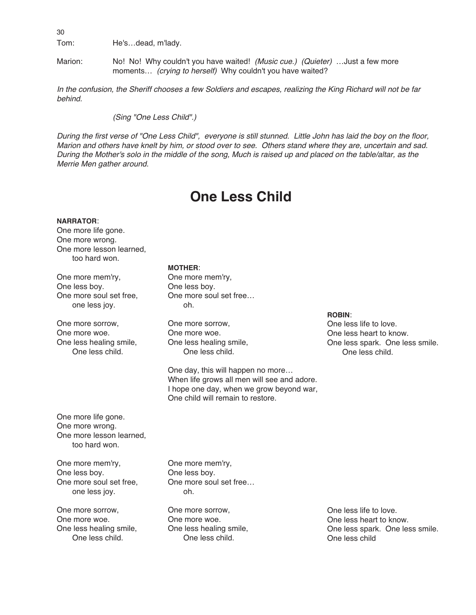Tom: He's…dead, m'lady.

Marion: No! No! Why couldn't you have waited! (Music cue.) (Quieter) …Just a few more moments... (crying to herself) Why couldn't you have waited?

In the confusion, the Sheriff chooses <sup>a</sup> few Soldiers and escapes, realizing the King Richard will not be far behind.

(Sing "One Less Child".)

During the first verse of "One Less Child", everyone is still stunned. Little John has laid the boy on the floor, Marion and others have knelt by him, or stood over to see. Others stand where they are, uncertain and sad. During the Mother's solo in the middle of the song, Much is raised up and placed on the table/altar, as the Merrie Men gather around.

## **One Less Child**

#### **NARRATOR**:

One more life gone. One more wrong. One more lesson learned, too hard won.

One more mem'ry, One less boy. One more soul set free, one less joy.

One more sorrow, One more woe. One less healing smile, One less child.

**MOTHER**:

One more mem'ry, One less boy. One more soul set free… oh.

One more sorrow, One more woe. One less healing smile, One less child.

One day, this will happen no more… When life grows all men will see and adore. I hope one day, when we grow beyond war, One child will remain to restore.

### **ROBIN**:

One less life to love. One less heart to know. One less spark. One less smile. One less child.

One more life gone. One more wrong. One more lesson learned, too hard won.

One more mem'ry, One less boy. One more soul set free, one less joy.

One more sorrow, One more woe. One less healing smile, One less child.

One more mem'ry, One less boy. One more soul set free… oh.

One more sorrow, One more woe. One less healing smile, One less child.

One less life to love. One less heart to know. One less spark. One less smile. One less child

30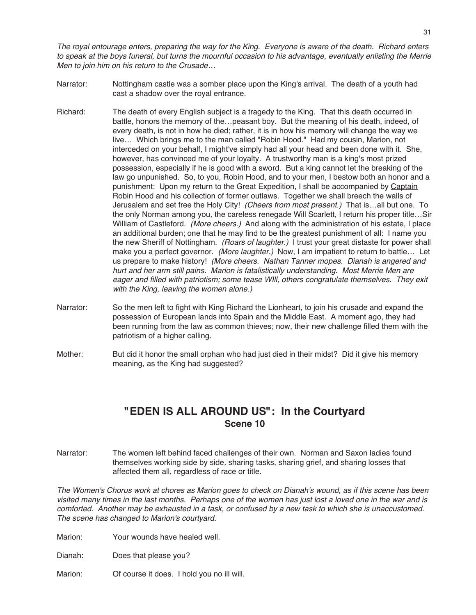The royal entourage enters, preparing the way for the King. Everyone is aware of the death. Richard enters to speak at the boys funeral, but turns the mournful occasion to his advantage, eventually enlisting the Merrie Men to join him on his return to the Crusade…

- Narrator: Nottingham castle was a somber place upon the King's arrival. The death of a youth had cast a shadow over the royal entrance.
- Richard: The death of every English subject is a tragedy to the King. That this death occurred in battle, honors the memory of the…peasant boy. But the meaning of his death, indeed, of every death, is not in how he died; rather, it is in how his memory will change the way we live… Which brings me to the man called "Robin Hood." Had my cousin, Marion, not interceded on your behalf, I might've simply had all your head and been done with it. She, however, has convinced me of your loyalty. A trustworthy man is a king's most prized possession, especially if he is good with a sword. But a king cannot let the breaking of the law go unpunished. So, to you, Robin Hood, and to your men, I bestow both an honor and a punishment: Upon my return to the Great Expedition, I shall be accompanied by Captain Robin Hood and his collection of former outlaws. Together we shall breech the walls of Jerusalem and set free the Holy City! (Cheers from most present.) That is...all but one. To the only Norman among you, the careless renegade Will Scarlett, I return his proper title…Sir William of Castleford. (More cheers.) And along with the administration of his estate, I place an additional burden; one that he may find to be the greatest punishment of all: I name you the new Sheriff of Nottingham. (Roars of laughter.) I trust your great distaste for power shall make you a perfect governor. (More laughter.) Now, I am impatient to return to battle... Let us prepare to make history! (More cheers. Nathan Tanner mopes. Dianah is angered and hurt and her arm still pains. Marion is fatalistically understanding. Most Merrie Men are eager and filled with patriotism; some tease WIll, others congratulate themselves. They exit with the King, leaving the women alone.)
- Narrator: So the men left to fight with King Richard the Lionheart, to join his crusade and expand the possession of European lands into Spain and the Middle East. A moment ago, they had been running from the law as common thieves; now, their new challenge filled them with the patriotism of a higher calling.
- Mother: But did it honor the small orphan who had just died in their midst? Did it give his memory meaning, as the King had suggested?

### **"EDEN IS ALL AROUND US": In the Courtyard Scene 10**

Narrator: The women left behind faced challenges of their own. Norman and Saxon ladies found themselves working side by side, sharing tasks, sharing grief, and sharing losses that affected them all, regardless of race or title.

The Women's Chorus work at chores as Marion goes to check on Dianah's wound, as if this scene has been visited many times in the last months. Perhaps one of the women has just lost <sup>a</sup> loved one in the war and is comforted. Another may be exhausted in <sup>a</sup> task, or confused by <sup>a</sup> new task to which she is unaccustomed. The scene has changed to Marion's courtyard.

Marion: Your wounds have healed well.

Dianah: Does that please you?

Marion: Of course it does. I hold you no ill will.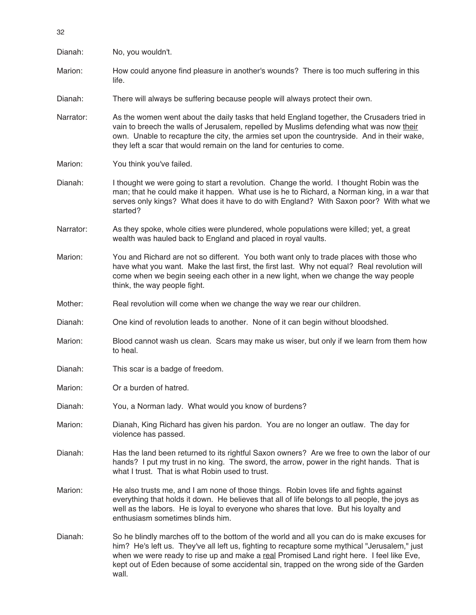| Dianah:   | No, you wouldn't.                                                                                                                                                                                                                                                                                                                                                                             |
|-----------|-----------------------------------------------------------------------------------------------------------------------------------------------------------------------------------------------------------------------------------------------------------------------------------------------------------------------------------------------------------------------------------------------|
| Marion:   | How could anyone find pleasure in another's wounds? There is too much suffering in this<br>life.                                                                                                                                                                                                                                                                                              |
| Dianah:   | There will always be suffering because people will always protect their own.                                                                                                                                                                                                                                                                                                                  |
| Narrator: | As the women went about the daily tasks that held England together, the Crusaders tried in<br>vain to breech the walls of Jerusalem, repelled by Muslims defending what was now their<br>own. Unable to recapture the city, the armies set upon the countryside. And in their wake,<br>they left a scar that would remain on the land for centuries to come.                                  |
| Marion:   | You think you've failed.                                                                                                                                                                                                                                                                                                                                                                      |
| Dianah:   | I thought we were going to start a revolution. Change the world. I thought Robin was the<br>man; that he could make it happen. What use is he to Richard, a Norman king, in a war that<br>serves only kings? What does it have to do with England? With Saxon poor? With what we<br>started?                                                                                                  |
| Narrator: | As they spoke, whole cities were plundered, whole populations were killed; yet, a great<br>wealth was hauled back to England and placed in royal vaults.                                                                                                                                                                                                                                      |
| Marion:   | You and Richard are not so different. You both want only to trade places with those who<br>have what you want. Make the last first, the first last. Why not equal? Real revolution will<br>come when we begin seeing each other in a new light, when we change the way people<br>think, the way people fight.                                                                                 |
| Mother:   | Real revolution will come when we change the way we rear our children.                                                                                                                                                                                                                                                                                                                        |
| Dianah:   | One kind of revolution leads to another. None of it can begin without bloodshed.                                                                                                                                                                                                                                                                                                              |
| Marion:   | Blood cannot wash us clean. Scars may make us wiser, but only if we learn from them how<br>to heal.                                                                                                                                                                                                                                                                                           |
| Dianah:   | This scar is a badge of freedom.                                                                                                                                                                                                                                                                                                                                                              |
| Marion:   | Or a burden of hatred.                                                                                                                                                                                                                                                                                                                                                                        |
| Dianah:   | You, a Norman lady. What would you know of burdens?                                                                                                                                                                                                                                                                                                                                           |
| Marion:   | Dianah, King Richard has given his pardon. You are no longer an outlaw. The day for<br>violence has passed.                                                                                                                                                                                                                                                                                   |
| Dianah:   | Has the land been returned to its rightful Saxon owners? Are we free to own the labor of our<br>hands? I put my trust in no king. The sword, the arrow, power in the right hands. That is<br>what I trust. That is what Robin used to trust.                                                                                                                                                  |
| Marion:   | He also trusts me, and I am none of those things. Robin loves life and fights against<br>everything that holds it down. He believes that all of life belongs to all people, the joys as<br>well as the labors. He is loyal to everyone who shares that love. But his loyalty and<br>enthusiasm sometimes blinds him.                                                                          |
| Dianah:   | So he blindly marches off to the bottom of the world and all you can do is make excuses for<br>him? He's left us. They've all left us, fighting to recapture some mythical "Jerusalem," just<br>when we were ready to rise up and make a real Promised Land right here. I feel like Eve,<br>kept out of Eden because of some accidental sin, trapped on the wrong side of the Garden<br>wall. |

32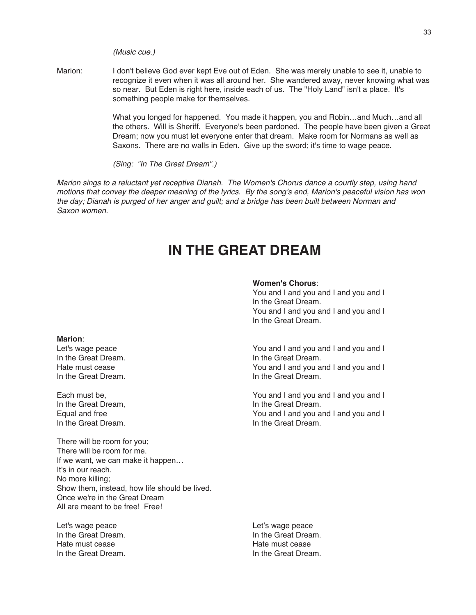(Music cue.)

Marion: I don't believe God ever kept Eve out of Eden. She was merely unable to see it, unable to recognize it even when it was all around her. She wandered away, never knowing what was so near. But Eden is right here, inside each of us. The "Holy Land" isn't a place. It's something people make for themselves.

> What you longed for happened. You made it happen, you and Robin…and Much…and all the others. Will is Sheriff. Everyone's been pardoned. The people have been given a Great Dream; now you must let everyone enter that dream. Make room for Normans as well as Saxons. There are no walls in Eden. Give up the sword; it's time to wage peace.

(Sing: "In The Great Dream".)

Marion sings to <sup>a</sup> reluctant yet receptive Dianah. The Women's Chorus dance <sup>a</sup> courtly step, using hand motions that convey the deeper meaning of the lyrics. By the song's end, Marion's peaceful vision has won the day; Dianah is purged of her anger and guilt; and <sup>a</sup> bridge has been built between Norman and Saxon women.

## **IN THE GREAT DREAM**

#### **Women's Chorus**:

You and I and you and I and you and I In the Great Dream. You and I and you and I and you and I In the Great Dream.

Let's wage peace  $\sim$  You and I and you and I and you and I Hate must cease<br>
In the Great Dream.<br>
In the Great Dream.<br>
In the Great Dream.

Each must be, You and I and you and I and you and I Equal and free Theorem 2012 County of The You and I and you and I and you and I and you and I and you and I and you and I and you and I and you and I and you and I and you and I and you and I and you and I and you and I an In the Great Dream.

#### **Marion**:

In the Great Dream. In the Great Dream. In the Great Dream.

In the Great Dream, In the Great Dream.

There will be room for you; There will be room for me. If we want, we can make it happen… It's in our reach. No more killing; Show them, instead, how life should be lived. Once we're in the Great Dream All are meant to be free! Free!

Let's wage peace **Let's wage peace** In the Great Dream. In the Great Dream. Hate must cease Hate must cease In the Great Dream. In the Great Dream.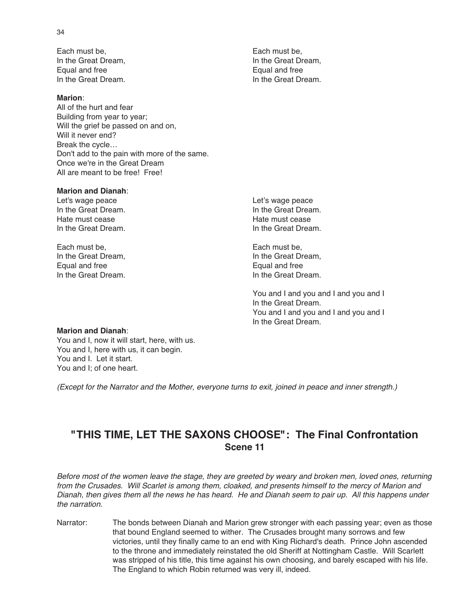Each must be, Each must be, Each must be, Equal and free Equal and free

#### **Marion**:

All of the hurt and fear Building from year to year; Will the grief be passed on and on, Will it never end? Break the cycle… Don't add to the pain with more of the same. Once we're in the Great Dream All are meant to be free! Free!

### **Marion and Dianah**:

Let's wage peace **Let's wage peace** In the Great Dream. In the Great Dream. Hate must cease **Hate must cease** Hate must cease In the Great Dream. In the Great Dream.

Each must be, Each must be, In the Great Dream,<br> **Equal and free** Equal and free Equal and free Equal and free In the Great Dream. In the Great Dream.

In the Great Dream, In the Great Dream, In the Great Dream. In the Great Dream.

You and I and you and I and you and I In the Great Dream. You and I and you and I and you and I In the Great Dream.

#### **Marion and Dianah**:

You and I, now it will start, here, with us. You and I, here with us, it can begin. You and I. Let it start. You and I; of one heart.

(Except for the Narrator and the Mother, everyone turns to exit, joined in peace and inner strength.)

### **"THIS TIME, LET THE SAXONS CHOOSE": The Final Confrontation Scene 11**

Before most of the women leave the stage, they are greeted by weary and broken men, loved ones, returning from the Crusades. Will Scarlet is among them, cloaked, and presents himself to the mercy of Marion and Dianah, then gives them all the news he has heard. He and Dianah seem to pair up. All this happens under the narration.

Narrator: The bonds between Dianah and Marion grew stronger with each passing year; even as those that bound England seemed to wither. The Crusades brought many sorrows and few victories, until they finally came to an end with King Richard's death. Prince John ascended to the throne and immediately reinstated the old Sheriff at Nottingham Castle. Will Scarlett was stripped of his title, this time against his own choosing, and barely escaped with his life. The England to which Robin returned was very ill, indeed.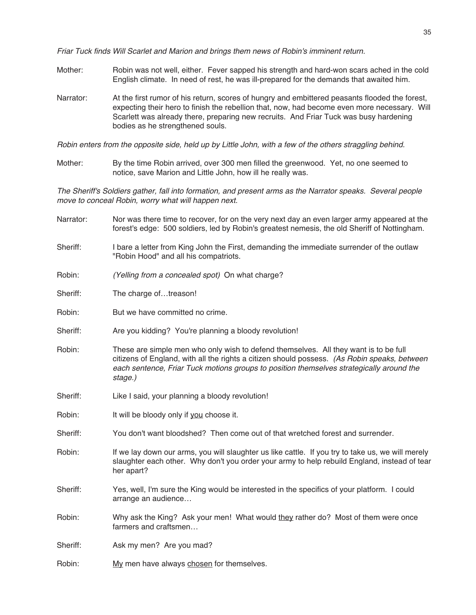Friar Tuck finds Will Scarlet and Marion and brings them news of Robin's imminent return.

- Mother: Robin was not well, either. Fever sapped his strength and hard-won scars ached in the cold English climate. In need of rest, he was ill-prepared for the demands that awaited him.
- Narrator: At the first rumor of his return, scores of hungry and embittered peasants flooded the forest, expecting their hero to finish the rebellion that, now, had become even more necessary. Will Scarlett was already there, preparing new recruits. And Friar Tuck was busy hardening bodies as he strengthened souls.

Robin enters from the opposite side, held up by Little John, with <sup>a</sup> few of the others straggling behind.

Mother: By the time Robin arrived, over 300 men filled the greenwood. Yet, no one seemed to notice, save Marion and Little John, how ill he really was.

The Sheriff's Soldiers gather, fall into formation, and present arms as the Narrator speaks. Several people move to conceal Robin, worry what will happen next.

- Narrator: Nor was there time to recover, for on the very next day an even larger army appeared at the forest's edge: 500 soldiers, led by Robin's greatest nemesis, the old Sheriff of Nottingham.
- Sheriff: I bare a letter from King John the First, demanding the immediate surrender of the outlaw "Robin Hood" and all his compatriots.
- Robin: (Yelling from a concealed spot) On what charge?
- Sheriff: The charge of...treason!
- Robin: But we have committed no crime.
- Sheriff: Are you kidding? You're planning a bloody revolution!
- Robin: These are simple men who only wish to defend themselves. All they want is to be full citizens of England, with all the rights a citizen should possess. (As Robin speaks, between each sentence, Friar Tuck motions groups to position themselves strategically around the stage.)
- Sheriff: Like I said, your planning a bloody revolution!
- Robin: It will be bloody only if you choose it.
- Sheriff: You don't want bloodshed? Then come out of that wretched forest and surrender.
- Robin: If we lay down our arms, you will slaughter us like cattle. If you try to take us, we will merely slaughter each other. Why don't you order your army to help rebuild England, instead of tear her apart?
- Sheriff: Yes, well, I'm sure the King would be interested in the specifics of your platform. I could arrange an audience…
- Robin: Why ask the King? Ask your men! What would they rather do? Most of them were once farmers and craftsmen…
- Sheriff: Ask my men? Are you mad?
- Robin: My men have always chosen for themselves.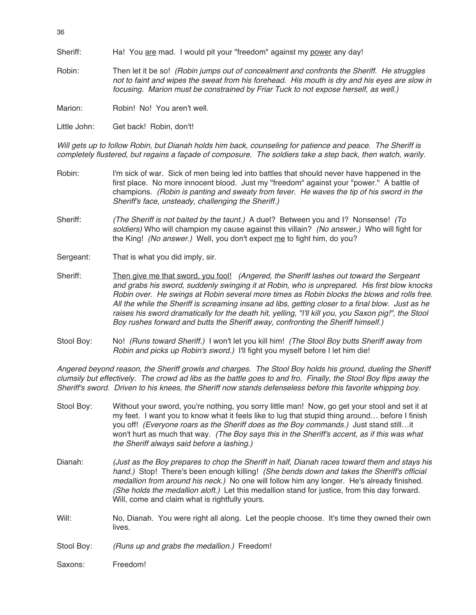Sheriff: Ha! You are mad. I would pit your "freedom" against my power any day!

Robin: Then let it be so! (Robin jumps out of concealment and confronts the Sheriff. He struggles not to faint and wipes the sweat from his forehead. His mouth is dry and his eyes are slow in focusing. Marion must be constrained by Friar Tuck to not expose herself, as well.)

Marion: Robin! No! You aren't well.

Little John: Get back! Robin, don't!

Will gets up to follow Robin, but Dianah holds him back, counseling for patience and peace. The Sheriff is completely flustered, but regains <sup>a</sup> façade of composure. The soldiers take <sup>a</sup> step back, then watch, warily.

- Robin: I'm sick of war. Sick of men being led into battles that should never have happened in the first place. No more innocent blood. Just my "freedom" against your "power." A battle of champions. (Robin is panting and sweaty from fever. He waves the tip of his sword in the Sheriff's face, unsteady, challenging the Sheriff.)
- Sheriff: (The Sheriff is not baited by the taunt.) A duel? Between you and I? Nonsense! (To soldiers) Who will champion my cause against this villain? (No answer.) Who will fight for the King! (No answer.) Well, you don't expect me to fight him, do you?
- Sergeant: That is what you did imply, sir.
- Sheriff: Then give me that sword, you fool! (Angered, the Sheriff lashes out toward the Sergeant and grabs his sword, suddenly swinging it at Robin, who is unprepared. His first blow knocks Robin over. He swings at Robin several more times as Robin blocks the blows and rolls free. All the while the Sheriff is screaming insane ad libs, getting closer to <sup>a</sup> final blow. Just as he raises his sword dramatically for the death hit, yelling, "I'll kill you, you Saxon pig!", the Stool Boy rushes forward and butts the Sheriff away, confronting the Sheriff himself.)
- Stool Boy: No! (Runs toward Sheriff.) I won't let you kill him! (The Stool Boy butts Sheriff away from Robin and picks up Robin's sword.) I'll fight you myself before I let him die!

Angered beyond reason, the Sheriff growls and charges. The Stool Boy holds his ground, dueling the Sheriff clumsily but effectively. The crowd ad libs as the battle goes to and fro. Finally, the Stool Boy flips away the Sheriff's sword. Driven to his knees, the Sheriff now stands defenseless before this favorite whipping boy.

| Stool Boy: | Without your sword, you're nothing, you sorry little man! Now, go get your stool and set it at<br>my feet. I want you to know what it feels like to lug that stupid thing around before I finish<br>you off! (Everyone roars as the Sheriff does as the Boy commands.) Just stand stillit<br>won't hurt as much that way. (The Boy says this in the Sheriff's accent, as if this was what<br>the Sheriff always said before a lashing.)      |
|------------|----------------------------------------------------------------------------------------------------------------------------------------------------------------------------------------------------------------------------------------------------------------------------------------------------------------------------------------------------------------------------------------------------------------------------------------------|
| Dianah:    | (Just as the Boy prepares to chop the Sheriff in half, Dianah races toward them and stays his<br>hand.) Stop! There's been enough killing! (She bends down and takes the Sheriff's official<br>medallion from around his neck.) No one will follow him any longer. He's already finished.<br>(She holds the medallion aloft.) Let this medallion stand for justice, from this day forward.<br>Will, come and claim what is rightfully yours. |
| Will:      | No, Dianah. You were right all along. Let the people choose. It's time they owned their own<br>lives.                                                                                                                                                                                                                                                                                                                                        |
| Stool Boy: | (Runs up and grabs the medallion.) Freedom!                                                                                                                                                                                                                                                                                                                                                                                                  |
| Saxons:    | Freedom!                                                                                                                                                                                                                                                                                                                                                                                                                                     |

36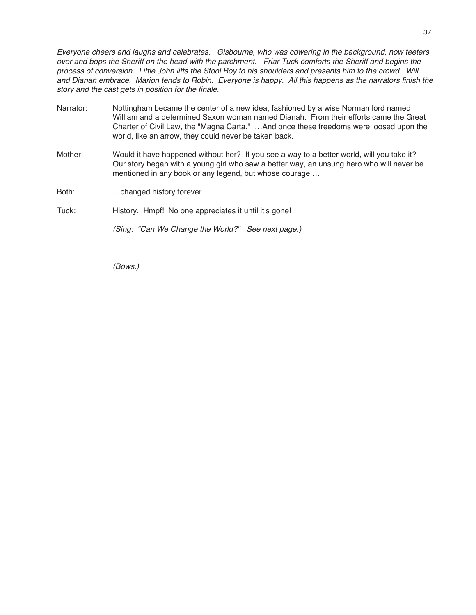Everyone cheers and laughs and celebrates. Gisbourne, who was cowering in the background, now teeters over and bops the Sheriff on the head with the parchment. Friar Tuck comforts the Sheriff and begins the process of conversion. Little John lifts the Stool Boy to his shoulders and presents him to the crowd. Will and Dianah embrace. Marion tends to Robin. Everyone is happy. All this happens as the narrators finish the story and the cast gets in position for the finale.

- Narrator: Nottingham became the center of a new idea, fashioned by a wise Norman lord named William and a determined Saxon woman named Dianah. From their efforts came the Great Charter of Civil Law, the "Magna Carta." …And once these freedoms were loosed upon the world, like an arrow, they could never be taken back.
- Mother: Would it have happened without her? If you see a way to a better world, will you take it? Our story began with a young girl who saw a better way, an unsung hero who will never be mentioned in any book or any legend, but whose courage …
- Both: …changed history forever.

### Tuck: History. Hmpf! No one appreciates it until it's gone!

(Sing: "Can We Change the World?" See next page.)

(Bows.)